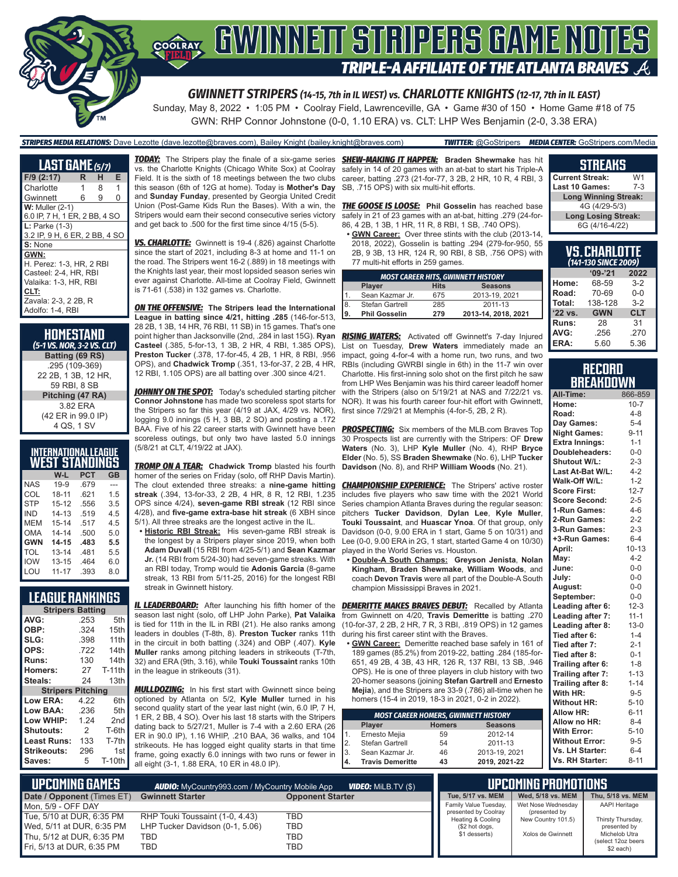

GWN: RHP Connor Johnstone (0-0, 1.10 ERA) vs. CLT: LHP Wes Benjamin (2-0, 3.38 ERA)

#### *STRIPERS MEDIA RELATIONS:* Dave Lezotte (dave.lezotte@braves.com), Bailey Knight (bailey.knight@braves.com) *TWITTER:* @GoStripers *MEDIA CENTER:* GoStripers.com/Media

**LAST GAME** *(5/7)* **F/9 (2:17) R H E** Charlotte 1 8 1 Gwinnett 6 9 0 **W:** Muller (2-1) 6.0 IP, 7 H, 1 ER, 2 BB, 4 SO **L:** Parke (1-3) 3.2 IP, 9 H, 6 ER, 2 BB, 4 SO **S:** None **GWN:** H. Perez: 1-3, HR, 2 RBI Casteel: 2-4, HR, RBI Valaika: 1-3, HR, RBI **CLT:** Zavala: 2-3, 2 2B, R Adolfo: 1-4, RBI

**HOMESTAND** *(5-1 VS. NOR, 3-2 VS. CLT)* **Batting (69 RS)** .295 (109-369) 22 2B, 1 3B, 12 HR, 59 RBI, 8 SB **Pitching (47 RA)** 3.82 ERA (42 ER in 99.0 IP) 4 QS, 1 SV

### **INTERNATIONAL LEAGUE WEST STANDINGS**

|            | W-L       | <b>PCT</b> | GB  |
|------------|-----------|------------|-----|
| <b>NAS</b> | $19-9$    | .679       | --- |
| COL        | 18-11     | .621       | 1.5 |
| <b>STP</b> | $15 - 12$ | .556       | 3.5 |
| IND        | $14 - 13$ | .519       | 4.5 |
| <b>MEM</b> | $15 - 14$ | .517       | 45  |
| OMA        | $14 - 14$ | .500       | 5.0 |
| <b>GWN</b> | $14 - 15$ | .483       | 5.5 |
| TOL        | $13 - 14$ | .481       | 5.5 |
| <b>IOW</b> | $13 - 15$ | .464       | 6.0 |
| LOU        | $11 - 17$ | .393       | 8.0 |

### **LEAGUE RANKINGS**

| <b>Stripers Batting</b>  |      |                  |  |  |  |  |
|--------------------------|------|------------------|--|--|--|--|
| AVG:                     | .253 | 5th              |  |  |  |  |
| OBP:                     | .324 | 15th             |  |  |  |  |
| SLG:                     | .398 | 11th             |  |  |  |  |
| OPS:                     | .722 | 14 <sub>th</sub> |  |  |  |  |
| <b>Runs:</b>             | 130  | 14th             |  |  |  |  |
| <b>Homers:</b>           | 27   | $T-11th$         |  |  |  |  |
| Steals:                  | 24   | 13th             |  |  |  |  |
| <b>Stripers Pitching</b> |      |                  |  |  |  |  |
| Low ERA:                 | 4.22 | 6th              |  |  |  |  |
| Low BAA:                 | .236 | 5th              |  |  |  |  |
| Low WHIP:                | 1.24 | 2 <sub>nd</sub>  |  |  |  |  |
| <b>Shutouts:</b>         | 2    | T-6th            |  |  |  |  |
| Least Runs:              | 133  | T-7th            |  |  |  |  |
| Strikeouts:              | 296  | 1st              |  |  |  |  |
| Saves:                   | 5    | <b>T-10th</b>    |  |  |  |  |

*TODAY:* The Stripers play the finale of a six-game series *SHEW-MAKING IT HAPPEN:* **Braden Shewmake** has hit vs. the Charlotte Knights (Chicago White Sox) at Coolray Field. It is the sixth of 18 meetings between the two clubs this season (6th of 12G at home). Today is **Mother's Day** and **Sunday Funday**, presented by Georgia United Credit Union (Post-Game Kids Run the Bases). With a win, the Stripers would earn their second consecutive series victory and get back to .500 for the first time since 4/15 (5-5).

*VS. CHARLOTTE:* Gwinnett is 19-4 (.826) against Charlotte since the start of 2021, including 8-3 at home and 11-1 on the road. The Stripers went 16-2 (.889) in 18 meetings with the Knights last year, their most lopsided season series win ever against Charlotte. All-time at Coolray Field, Gwinnett is 71-61 (.538) in 132 games vs. Charlotte.

*ON THE OFFENSIVE:* **The Stripers lead the International League in batting since 4/21, hitting .285** (146-for-513, 28 2B, 1 3B, 14 HR, 76 RBI, 11 SB) in 15 games. That's one point higher than Jacksonville (2nd, .284 in last 15G). **Ryan**  *RISING WATERS:* Activated off Gwinnett's 7-day Injured **Casteel** (.385, 5-for-13, 1 3B, 2 HR, 4 RBI, 1.385 OPS), **Preston Tucker** (.378, 17-for-45, 4 2B, 1 HR, 8 RBI, .956 OPS), and **Chadwick Tromp** (.351, 13-for-37, 2 2B, 4 HR, 12 RBI, 1.105 OPS) are all batting over .300 since 4/21.

*JOHNNY ON THE SPOT:* Today's scheduled starting pitcher **Connor Johnstone** has made two scoreless spot starts for the Stripers so far this year (4/19 at JAX, 4/29 vs. NOR), logging 9.0 innings (5 H, 3 BB, 2 SO) and posting a .172 BAA. Five of his 22 career starts with Gwinnett have been scoreless outings, but only two have lasted 5.0 innings (5/8/21 at CLT, 4/19/22 at JAX).

**TROMP ON A TEAR:** Chadwick Tromp blasted his fourth homer of the series on Friday (solo, off RHP Davis Martin). The clout extended three streaks: a **nine-game hitting streak** (.394, 13-for-33, 2 2B, 4 HR, 8 R, 12 RBI, 1.235 OPS since 4/24), **seven-game RBI streak** (12 RBI since 4/28), and **five-game extra-base hit streak** (6 XBH since 5/1). All three streaks are the longest active in the IL.

**• Historic RBI Streak:** His seven-game RBI streak is the longest by a Stripers player since 2019, when both **Adam Duvall** (15 RBI from 4/25-5/1) and **Sean Kazmar Jr.** (14 RBI from 5/24-30) had seven-game streaks. With an RBI today, Tromp would tie **Adonis Garcia** (8-game streak, 13 RBI from 5/11-25, 2016) for the longest RBI streak in Gwinnett history.

season last night (solo, off LHP John Parke), **Pat Valaika** is tied for 11th in the IL in RBI (21). He also ranks among leaders in doubles (T-8th, 8). **Preston Tucker** ranks 11th in the circuit in both batting (.324) and OBP (.407). **Kyle Muller** ranks among pitching leaders in strikeouts (T-7th, 32) and ERA (9th, 3.16), while **Touki Toussaint** ranks 10th in the league in strikeouts (31).

**MULLDOZING:** In his first start with Gwinnett since being optioned by Atlanta on 5/2, **Kyle Muller** turned in his second quality start of the year last night (win, 6.0 IP, 7 H, 1 ER, 2 BB, 4 SO). Over his last 18 starts with the Stripers dating back to 5/27/21, Muller is 7-4 with a 2.60 ERA (26 ER in 90.0 IP), 1.16 WHIP, .210 BAA, 36 walks, and 104 strikeouts. He has logged eight quality starts in that time frame, going exactly 6.0 innings with two runs or fewer in all eight (3-1, 1.88 ERA, 10 ER in 48.0 IP).

safely in 14 of 20 games with an at-bat to start his Triple-A career, batting .273 (21-for-77, 3 2B, 2 HR, 10 R, 4 RBI, 3 SB, .715 OPS) with six multi-hit efforts.

*THE GOOSE IS LOOSE:* **Phil Gosselin** has reached base safely in 21 of 23 games with an at-bat, hitting .279 (24-for-86, 4 2B, 1 3B, 1 HR, 11 R, 8 RBI, 1 SB, .740 OPS).

**• GWN Career:** Over three stints with the club (2013-14, 2018, 2022), Gosselin is batting .294 (279-for-950, 55 2B, 9 3B, 13 HR, 124 R, 90 RBI, 8 SB, .756 OPS) with 77 multi-hit efforts in 259 games.

| <b>MOST CAREER HITS, GWINNETT HISTORY</b> |                      |             |                     |  |  |  |  |
|-------------------------------------------|----------------------|-------------|---------------------|--|--|--|--|
|                                           | <b>Player</b>        | <b>Hits</b> | <b>Seasons</b>      |  |  |  |  |
|                                           | Sean Kazmar Jr.      | 675         | 2013-19, 2021       |  |  |  |  |
| $\sqrt{8}$ .                              | Stefan Gartrell      | 285         | 2011-13             |  |  |  |  |
| 19.                                       | <b>Phil Gosselin</b> | 279         | 2013-14, 2018, 2021 |  |  |  |  |

List on Tuesday, **Drew Waters** immediately made an impact, going 4-for-4 with a home run, two runs, and two RBIs (including GWRBI single in 6th) in the 11-7 win over Charlotte. His first-inning solo shot on the first pitch he saw from LHP Wes Benjamin was his third career leadoff homer with the Stripers (also on 5/19/21 at NAS and 7/22/21 vs. NOR). It was his fourth career four-hit effort with Gwinnett first since 7/29/21 at Memphis (4-for-5, 2B, 2 R).

**PROSPECTING:** Six members of the MLB.com Braves Top 30 Prospects list are currently with the Stripers: OF **Drew Waters** (No. 3), LHP **Kyle Muller** (No. 4), RHP **Bryce Elder** (No. 5), SS **Braden Shewmake** (No. 6), LHP **Tucker Davidson** (No. 8), and RHP **William Woods** (No. 21).

**CHAMPIONSHIP EXPERIENCE:** The Stripers' active roster includes five players who saw time with the 2021 World Series champion Atlanta Braves during the regular season: pitchers **Tucker Davidson**, **Dylan Lee**, **Kyle Muller**, **Touki Toussaint**, and **Huascar Ynoa**. Of that group, only Davidson (0-0, 9.00 ERA in 1 start, Game 5 on 10/31) and Lee (0-0, 9.00 ERA in 2G, 1 start, started Game 4 on 10/30) played in the World Series vs. Houston.

**• Double-A South Champs: Greyson Jenista**, **Nolan Kingham**, **Braden Shewmake**, **William Woods**, and coach **Devon Travis** were all part of the Double-A South champion Mississippi Braves in 2021.

*IL LEADERBOARD:* After launching his fifth homer of the *DEMERITTE MAKES BRAVES DEBUT:* Recalled by Atlanta from Gwinnett on 4/20, **Travis Demeritte** is batting .270 (10-for-37, 2 2B, 2 HR, 7 R, 3 RBI, .819 OPS) in 12 games during his first career stint with the Braves.

**• GWN Career:** Demeritte reached base safely in 161 of 189 games (85.2%) from 2019-22, batting .284 (185-for-651, 49 2B, 4 3B, 43 HR, 126 R, 137 RBI, 13 SB, .946 OPS). He is one of three players in club history with two 20-homer seasons (joining **Stefan Gartrell** and **Ernesto Mejia**), and the Stripers are 33-9 (.786) all-time when he homers (15-4 in 2019, 18-3 in 2021, 0-2 in 2022).

| <b>MOST CAREER HOMERS, GWINNETT HISTORY</b> |                         |               |                |  |  |  |  |
|---------------------------------------------|-------------------------|---------------|----------------|--|--|--|--|
|                                             | Player                  | <b>Homers</b> | <b>Seasons</b> |  |  |  |  |
| 1.                                          | Ernesto Mejia           | 59            | 2012-14        |  |  |  |  |
| 2.                                          | Stefan Gartrell         | 54            | 2011-13        |  |  |  |  |
| 3.                                          | Sean Kazmar Jr.         | 46            | 2013-19, 2021  |  |  |  |  |
| 4.                                          | <b>Travis Demeritte</b> | 43            | 2019, 2021-22  |  |  |  |  |

#### **STREAKS**

| <b>Current Streak:</b>      | W1  |  |  |  |  |
|-----------------------------|-----|--|--|--|--|
| <b>Last 10 Games:</b>       | 7-3 |  |  |  |  |
| <b>Long Winning Streak:</b> |     |  |  |  |  |
| 4G (4/29-5/3)               |     |  |  |  |  |
| <b>Long Losing Streak:</b>  |     |  |  |  |  |
| 6G (4/16-4/22)              |     |  |  |  |  |

| VS.CHARLOTTE<br>(141-130 SINCE 2009) |            |            |  |  |  |
|--------------------------------------|------------|------------|--|--|--|
|                                      | $9 - 21$   | 2022       |  |  |  |
| Home:                                | 68-59      | $3-2$      |  |  |  |
| Road:                                | 70-69      | $0 - 0$    |  |  |  |
| Total:                               | 138-128    | $3 - 2$    |  |  |  |
| '22 vs.                              | <b>GWN</b> | <b>CLT</b> |  |  |  |
| Runs:                                | 28         | 31         |  |  |  |
| AVG:                                 | .256       | .270       |  |  |  |
| ERA:                                 | 5.60       | 5.36       |  |  |  |

#### **RECORD BREAKDOWN**

| All-Time:             | 866-859   |
|-----------------------|-----------|
| Home:                 | $10 - 7$  |
| Road:                 | $4 - 8$   |
| Day Games:            | $5 - 4$   |
| <b>Night Games:</b>   | $9 - 11$  |
| <b>Extra Innings:</b> | $1 - 1$   |
| Doubleheaders:        | $0-0$     |
| Shutout W/L:          | $2 - 3$   |
| Last At-Bat W/L:      | $4 - 2$   |
| Walk-Off W/L:         | $1 - 2$   |
| <b>Score First:</b>   | $12 - 7$  |
| <b>Score Second:</b>  | $2 - 5$   |
| 1-Run Games:          | $4 - 6$   |
| 2-Run Games:          | $2 - 2$   |
| 3-Run Games:          | $2 - 3$   |
| +3-Run Games:         | $6 - 4$   |
| April:                | $10 - 13$ |
| May:                  | $4 - 2$   |
| June:                 | $0-0$     |
| July:                 | $0-0$     |
| August:               | $0-0$     |
| September:            | $0 - 0$   |
| Leading after 6:      | $12 - 3$  |
| Leading after 7:      | $11 - 1$  |
| Leading after 8:      | $13 - 0$  |
| Tied after 6:         | $1 - 4$   |
| Tied after 7:         | $2 - 1$   |
| Tied after 8:         | $0 - 1$   |
| Trailing after 6:     | $1 - 8$   |
| Trailing after 7:     | $1 - 13$  |
| Trailing after 8:     | $1 - 14$  |
| With HR:              | $9 - 5$   |
| <b>Without HR:</b>    | $5 - 10$  |
| <b>Allow HR:</b>      | $6 - 11$  |
| Allow no HR:          | $8 - 4$   |
| <b>With Error:</b>    | $5 - 10$  |
| <b>Without Error:</b> | $9 - 5$   |
| Vs. LH Starter:       | $6 - 4$   |
| Vs. RH Starter:       | $8 - 11$  |

| <b>ii   upcoming games  '</b> | $'$ wideo: Milb.tv (\$)<br><b>AUDIO:</b> MyCountry993.com / MyCountry Mobile App |                         |                                           | UPCOMING PROMOTIONS <b>.</b>        |                                 |
|-------------------------------|----------------------------------------------------------------------------------|-------------------------|-------------------------------------------|-------------------------------------|---------------------------------|
| Date / Opponent (Times ET)    | <b>Gwinnett Starter</b>                                                          | <b>Opponent Starter</b> | Tue, 5/17 vs. MEM                         | Wed, 5/18 vs. MEM                   | Thu. 5/18 vs. MEM               |
| Mon, 5/9 - OFF DAY            |                                                                                  |                         | Family Value Tuesday,                     | Wet Nose Wednesdav                  | <b>AAPI Heritage</b>            |
| Tue, 5/10 at DUR, 6:35 PM     | RHP Touki Toussaint (1-0, 4.43)                                                  | TBD                     | presented by Coolray<br>Heating & Cooling | (presented by<br>New Country 101.5) | Thirsty Thursday,               |
| Wed, 5/11 at DUR, 6:35 PM     | LHP Tucker Davidson (0-1, 5.06)                                                  | <b>TBD</b>              | (\$2 hot dogs,                            |                                     | presented by                    |
| Thu, 5/12 at DUR, 6:35 PM     | TBD                                                                              | TBD                     | \$1 desserts)                             | Xolos de Gwinnett                   | Michelob Utra                   |
| Fri, 5/13 at DUR, 6:35 PM     | TBD                                                                              | TBD                     |                                           |                                     | (select 12oz beers<br>\$2 each) |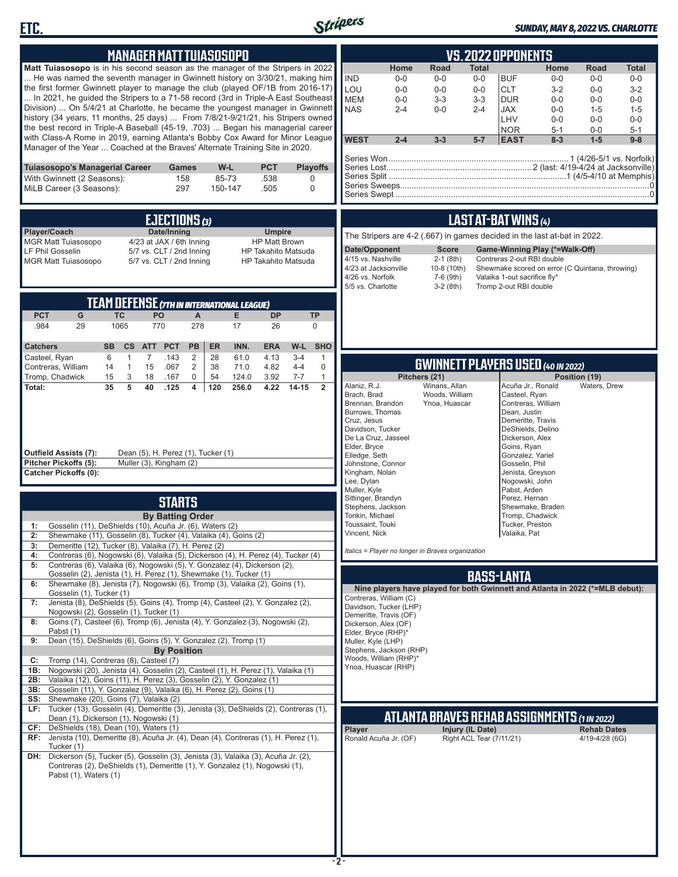



### *SUNDAY, MAY 8, 2022 VS. CHARLOTTE*

| <b>MANAGER MATT TUIASOSOPO</b>                                                                                                                                                                                                                                                                                                                                                                                                                                                                                                                                                                                                                                                                                                                                                                                                                                                                                                                                                                                                                                                                                                                                                                                                                                                                                                                                                                                                                                                                                                                               | <b>VS. 2022 OPPONENTS</b>                                                                                                                                                                                                                                                                                                                                                                                                                                                                                                                                                                                                                                                                                                                                 |
|--------------------------------------------------------------------------------------------------------------------------------------------------------------------------------------------------------------------------------------------------------------------------------------------------------------------------------------------------------------------------------------------------------------------------------------------------------------------------------------------------------------------------------------------------------------------------------------------------------------------------------------------------------------------------------------------------------------------------------------------------------------------------------------------------------------------------------------------------------------------------------------------------------------------------------------------------------------------------------------------------------------------------------------------------------------------------------------------------------------------------------------------------------------------------------------------------------------------------------------------------------------------------------------------------------------------------------------------------------------------------------------------------------------------------------------------------------------------------------------------------------------------------------------------------------------|-----------------------------------------------------------------------------------------------------------------------------------------------------------------------------------------------------------------------------------------------------------------------------------------------------------------------------------------------------------------------------------------------------------------------------------------------------------------------------------------------------------------------------------------------------------------------------------------------------------------------------------------------------------------------------------------------------------------------------------------------------------|
| <b>Matt Tuiasosopo</b> is in his second season as the manager of the Stripers in 2022<br>He was named the seventh manager in Gwinnett history on 3/30/21, making him<br>the first former Gwinnett player to manage the club (played OF/1B from 2016-17)<br>In 2021, he guided the Stripers to a 71-58 record (3rd in Triple-A East Southeast<br>Division)  On 5/4/21 at Charlotte, he became the youngest manager in Gwinnett<br>history (34 years, 11 months, 25 days)  From 7/8/21-9/21/21, his Stripers owned<br>the best record in Triple-A Baseball (45-19, .703)  Began his managerial career<br>with Class-A Rome in 2019, earning Atlanta's Bobby Cox Award for Minor League                                                                                                                                                                                                                                                                                                                                                                                                                                                                                                                                                                                                                                                                                                                                                                                                                                                                         | Home<br>Road<br>Total<br>Home<br>Road<br>Total<br><b>IND</b><br>$0-0$<br>$0-0$<br><b>BUF</b><br>$0-0$<br>$0-0$<br>$0-0$<br>$0-0$<br>LOU<br><b>CLT</b><br>$0-0$<br>$0-0$<br>$3 - 2$<br>$0-0$<br>$3-2$<br>$0-0$<br><b>MEM</b><br>$3 - 3$<br>$3 - 3$<br><b>DUR</b><br>$0-0$<br>$0-0$<br>$0-0$<br>$0-0$<br><b>NAS</b><br>$2 - 4$<br>$0-0$<br>$0-0$<br>$1 - 5$<br>$2 - 4$<br>JAX<br>$1 - 5$<br>LHV<br>$0-0$<br>$0-0$<br>$0-0$<br><b>NOR</b><br>$5 - 1$<br>$0-0$<br>$5 - 1$<br><b>WEST</b><br>$2 - 4$<br>$3 - 3$<br>$5-7$<br><b>EAST</b><br>$8 - 3$<br>$1-5$<br>$9 - 8$                                                                                                                                                                                         |
| Manager of the Year  Coached at the Braves' Alternate Training Site in 2020.<br>Tuiasosopo's Managerial Career<br>W-L<br><b>PCT</b><br><b>Playoffs</b><br>Games<br>With Gwinnett (2 Seasons):<br>158<br>85-73<br>.538<br>0<br>MiLB Career (3 Seasons):<br>297<br>150-147<br>.505<br>0                                                                                                                                                                                                                                                                                                                                                                                                                                                                                                                                                                                                                                                                                                                                                                                                                                                                                                                                                                                                                                                                                                                                                                                                                                                                        |                                                                                                                                                                                                                                                                                                                                                                                                                                                                                                                                                                                                                                                                                                                                                           |
| EJECTIONS (3)<br>Date/Inning<br>Player/Coach<br><b>Umpire</b><br><b>MGR Matt Tuiasosopo</b><br>4/23 at JAX / 6th Inning<br><b>HP Matt Brown</b><br>LF Phil Gosselin<br>5/7 vs. CLT / 2nd Inning<br>HP Takahito Matsuda<br><b>MGR Matt Tuiasosopo</b><br>5/7 vs. CLT / 2nd Inning<br><b>HP Takahito Matsuda</b>                                                                                                                                                                                                                                                                                                                                                                                                                                                                                                                                                                                                                                                                                                                                                                                                                                                                                                                                                                                                                                                                                                                                                                                                                                               | LAST AT-BAT WINS (4)<br>The Stripers are 4-2 (.667) in games decided in the last at-bat in 2022.<br>Date/Opponent<br><b>Score</b><br>Game-Winning Play (*=Walk-Off)<br>4/15 vs. Nashville<br>$2-1$ (8th)<br>Contreras 2-out RBI double<br>4/23 at Jacksonville<br>10-8 (10th)<br>Shewmake scored on error (C Quintana, throwing)<br>4/26 vs. Norfolk<br>7-6 (9th)<br>Valaika 1-out sacrifice fly*<br>5/5 vs. Charlotte<br>$3-2(8th)$<br>Tromp 2-out RBI double                                                                                                                                                                                                                                                                                            |
| <b>TEAM DEFENSE (7TH IN INTERNATIONAL LEAGUE)</b><br><b>PCT</b><br>G<br><b>TC</b><br>PO<br>A<br>E.<br><b>DP</b><br><b>TP</b><br>.984<br>29<br>1065<br>770<br>278<br>17<br>26<br>$\mathbf 0$<br><b>ER</b><br>INN.<br><b>ERA</b><br>W-L<br><b>SHO</b><br><b>Catchers</b><br><b>SB</b><br>$\mathsf{cs}$<br><b>ATT</b><br><b>PCT</b><br>PB                                                                                                                                                                                                                                                                                                                                                                                                                                                                                                                                                                                                                                                                                                                                                                                                                                                                                                                                                                                                                                                                                                                                                                                                                       |                                                                                                                                                                                                                                                                                                                                                                                                                                                                                                                                                                                                                                                                                                                                                           |
| Casteel, Ryan<br>6<br>$\overline{7}$<br>2<br>28<br>4.13<br>$3 - 4$<br>$\mathbf{1}$<br>.143<br>61.0<br>$\mathbf{1}$<br>Contreras, William<br>$\overline{1}$<br>15<br>$\overline{c}$<br>38<br>4.82<br>$4 - 4$<br>$\mathbf 0$<br>14<br>.067<br>71.0                                                                                                                                                                                                                                                                                                                                                                                                                                                                                                                                                                                                                                                                                                                                                                                                                                                                                                                                                                                                                                                                                                                                                                                                                                                                                                             | <b>GWINNETT PLAYERS USED (40 IN 2022)</b>                                                                                                                                                                                                                                                                                                                                                                                                                                                                                                                                                                                                                                                                                                                 |
| Tromp, Chadwick<br>3<br>0<br>124.0<br>$7 - 7$<br>$\mathbf{1}$<br>15<br>18<br>.167<br>54<br>3.92<br>5<br>$\overline{2}$<br>35<br>40<br>$\overline{\mathbf{4}}$<br>4.22<br>$14 - 15$<br>Total:<br>.125<br>120<br>256.0<br>Dean (5), H. Perez (1), Tucker (1)<br><b>Outfield Assists (7):</b><br>Pitcher Pickoffs (5):<br>Muller (3), Kingham (2)<br><b>Catcher Pickoffs (0):</b><br><b>STARTS</b><br><b>By Batting Order</b><br>Gosselin (11), DeShields (10), Acuña Jr. (6), Waters (2)<br>1:                                                                                                                                                                                                                                                                                                                                                                                                                                                                                                                                                                                                                                                                                                                                                                                                                                                                                                                                                                                                                                                                 | Pitchers (21)<br>Position (19)<br>Alaniz, R.J.<br>Winans, Allan<br>Acuña Jr., Ronald<br>Waters, Drew<br>Woods, William<br>Brach, Brad<br>Casteel, Ryan<br>Contreras, William<br>Brennan, Brandon<br>Ynoa, Huascar<br>Burrows, Thomas<br>Dean, Justin<br>Cruz, Jesus<br>Demeritte, Travis<br>Davidson, Tucker<br>DeShields, Delino<br>De La Cruz, Jasseel<br>Dickerson, Alex<br>Elder, Bryce<br>Goins, Ryan<br>Elledge, Seth<br>Gonzalez, Yariel<br>Johnstone, Connor<br>Gosselin, Phil<br>Kingham, Nolan<br>Jenista, Greyson<br>Lee, Dylan<br>Nogowski, John<br>Muller, Kyle<br>Pabst, Arden<br>Sittinger, Brandyn<br>Perez, Hernan<br>Stephens, Jackson<br>Shewmake, Braden<br>Tonkin, Michael<br>Tromp, Chadwick<br>Toussaint, Touki<br>Tucker, Preston |
| 2:<br>Shewmake (11), Gosselin (8), Tucker (4), Valaika (4), Goins (2)<br>Demeritte (12), Tucker (8), Valaika (7), H. Perez (2)                                                                                                                                                                                                                                                                                                                                                                                                                                                                                                                                                                                                                                                                                                                                                                                                                                                                                                                                                                                                                                                                                                                                                                                                                                                                                                                                                                                                                               | Vincent, Nick<br>Valaika, Pat                                                                                                                                                                                                                                                                                                                                                                                                                                                                                                                                                                                                                                                                                                                             |
| Contreras (6), Nogowski (6), Valaika (5), Dickerson (4), H. Perez (4), Tucker (4)<br>4:<br>Contreras (6), Valaika (6), Nogowski (5), Y. Gonzalez (4), Dickerson (2),<br>5:<br>Gosselin (2), Jenista (1), H. Perez (1), Shewmake (1), Tucker (1)<br>Shewmake (8), Jenista (7), Nogowski (6), Tromp (3), Valaika (2), Goins (1),<br>6:<br>Gosselin (1), Tucker (1)<br>Jenista (8), DeShields (5), Goins (4), Tromp (4), Casteel (2), Y. Gonzalez (2),<br>7:<br>Nogowski (2), Gosselin (1), Tucker (1)<br>Goins (7), Casteel (6), Tromp (6), Jenista (4), Y. Gonzalez (3), Nogowski (2),<br>8:<br>Pabst (1)<br>Dean (15), DeShields (6), Goins (5), Y. Gonzalez (2), Tromp (1)<br>9:<br><b>By Position</b><br>Tromp (14), Contreras (8), Casteel (7)<br>C:<br>Nogowski (20), Jenista (4), Gosselin (2), Casteel (1), H. Perez (1), Valaika (1)<br>1B:<br>Valaika (12), Goins (11), H. Perez (3), Gosselin (2), Y. Gonzalez (1)<br>2B:<br>Gosselin (11), Y. Gonzalez (9), Valaika (6), H. Perez (2), Goins (1)<br>3B:<br>Shewmake (20), Goins (7), Valaika (2)<br>SS:<br>LF: Tucker (13), Gosselin (4), Demeritte (3), Jenista (3), DeShields (2), Contreras (1),<br>Dean (1), Dickerson (1), Nogowski (1)<br>CF: DeShields (18), Dean (10), Waters (1)<br>RF: Jenista (10), Demeritte (8), Acuña Jr. (4), Dean (4), Contreras (1), H. Perez (1),<br>Tucker (1)<br>DH: Dickerson (5), Tucker (5), Gosselin (3), Jenista (3), Valaika (3), Acuña Jr. (2),<br>Contreras (2), DeShields (1), Demeritte (1), Y. Gonzalez (1), Nogowski (1),<br>Pabst (1), Waters (1) | Italics = Player no longer in Braves organization<br><b>BASS-LANTA</b><br>Nine players have played for both Gwinnett and Atlanta in 2022 (*=MLB debut):<br>Contreras, William (C)<br>Davidson, Tucker (LHP)<br>Demeritte, Travis (OF)<br>Dickerson, Alex (OF)<br>Elder, Bryce (RHP)*<br>Muller, Kyle (LHP)<br>Stephens, Jackson (RHP)<br>Woods, William (RHP)*<br>Ynoa, Huascar (RHP)<br><u>ATLANTA BRAVES REHAB ASSIGNMENTS (1 IN 2022)</u><br>Injury (IL Date)<br><b>Rehab Dates</b><br><b>Player</b><br>Right ACL Tear (7/11/21)<br>Ronald Acuña Jr. (OF)<br>4/19-4/28 (6G)                                                                                                                                                                            |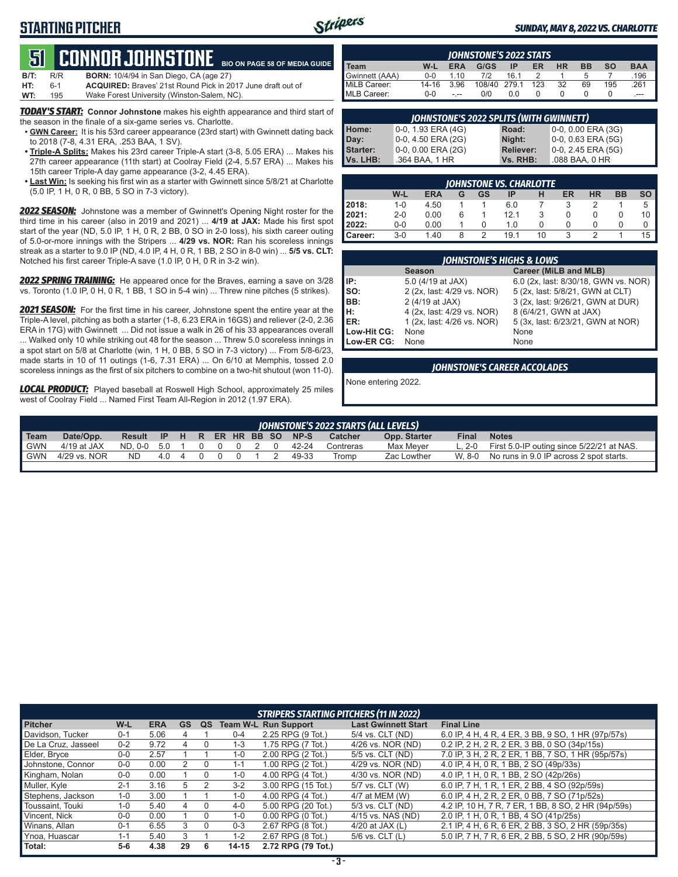### **STARTING PITCHER**



#### *SUNDAY, MAY 8, 2022 VS. CHARLOTTE*

### **51****CONNOR Johnstone BIO ON PAGE 58 OF MEDIA GUIDE**

| $B/T$ : | R/R   | <b>BORN:</b> 10/4/94 in San Diego, CA (age 27)                     |
|---------|-------|--------------------------------------------------------------------|
| HT:     | $6-1$ | <b>ACQUIRED:</b> Braves' 21st Round Pick in 2017 June draft out of |
| WT:     | 195   | Wake Forest University (Winston-Salem, NC).                        |

*TODAY'S START:* **Connor Johnstone** makes his eighth appearance and third start of the season in the finale of a six-game series vs. Charlotte.

- **• GWN Career:** It is his 53rd career appearance (23rd start) with Gwinnett dating back to 2018 (7-8, 4.31 ERA, .253 BAA, 1 SV).
- **• Triple-A Splits:** Makes his 23rd career Triple-A start (3-8, 5.05 ERA) ... Makes his 27th career appearance (11th start) at Coolray Field (2-4, 5.57 ERA) ... Makes his 15th career Triple-A day game appearance (3-2, 4.45 ERA).
- **• Last Win:** Is seeking his first win as a starter with Gwinnett since 5/8/21 at Charlotte (5.0 IP, 1 H, 0 R, 0 BB, 5 SO in 7-3 victory).

*2022 SEASON:* Johnstone was a member of Gwinnett's Opening Night roster for the third time in his career (also in 2019 and 2021) ... **4/19 at JAX:** Made his first spot start of the year (ND, 5.0 IP, 1 H, 0 R, 2 BB, 0 SO in 2-0 loss), his sixth career outing of 5.0-or-more innings with the Stripers ... **4/29 vs. NOR:** Ran his scoreless innings streak as a starter to 9.0 IP (ND, 4.0 IP, 4 H, 0 R, 1 BB, 2 SO in 8-0 win) ... **5/5 vs. CLT:** Notched his first career Triple-A save (1.0 IP, 0 H, 0 R in 3-2 win).

*2022 SPRING TRAINING:* He appeared once for the Braves, earning a save on 3/28 vs. Toronto (1.0 IP, 0 H, 0 R, 1 BB, 1 SO in 5-4 win) ... Threw nine pitches (5 strikes).

*2021 SEASON:* For the first time in his career, Johnstone spent the entire year at the Triple-A level, pitching as both a starter (1-8, 6.23 ERA in 16GS) and reliever (2-0, 2.36 ERA in 17G) with Gwinnett ... Did not issue a walk in 26 of his 33 appearances overall ... Walked only 10 while striking out 48 for the season ... Threw 5.0 scoreless innings in a spot start on 5/8 at Charlotte (win, 1 H, 0 BB, 5 SO in 7-3 victory) ... From 5/8-6/23, made starts in 10 of 11 outings (1-6, 7.31 ERA) ... On 6/10 at Memphis, tossed 2.0 scoreless innings as the first of six pitchers to combine on a two-hit shutout (won 11-0).

*LOCAL PRODUCT:* Played baseball at Roswell High School, approximately 25 miles west of Coolray Field ... Named First Team All-Region in 2012 (1.97 ERA).

| <b>IOHNSTONE'S 2022 STATS</b> |         |            |              |     |     |           |           |     |            |
|-------------------------------|---------|------------|--------------|-----|-----|-----------|-----------|-----|------------|
| Team                          | W-L     | <b>ERA</b> | G/GS         | ΙP  | ER  | <b>HR</b> | <b>BB</b> | so  | <b>BAA</b> |
| Gwinnett (AAA)                | $0 - 0$ | 110        | 712          | 161 |     |           |           |     | .196       |
| MiLB Career:                  | 14-16   | 3.96       | 108/40 279.1 |     | 123 | 32        | 69        | 195 | .261       |
| MLB Career:                   | $0 - 0$ |            | 0/0          | 0.0 |     |           |           |     |            |

| <b>JOHNSTONE'S 2022 SPLITS (WITH GWINNETT)</b> |                    |                  |                      |  |  |  |  |
|------------------------------------------------|--------------------|------------------|----------------------|--|--|--|--|
| Home:                                          | 0-0, 1.93 ERA (4G) | Road:            | 0-0, 0.00 ERA (3G)   |  |  |  |  |
| Day:                                           | 0-0, 4.50 ERA (2G) | Night:           | $0-0, 0.63$ ERA (5G) |  |  |  |  |
| <b>Starter:</b>                                | 0-0, 0.00 ERA (2G) | <b>Reliever:</b> | 0-0, 2.45 ERA (5G)   |  |  |  |  |
| Vs. LHB:                                       | .364 BAA, 1 HR     | Vs. RHB:         | .088 BAA, 0 HR       |  |  |  |  |

|         | JOHNSTONE VS. CHARLOTTE |            |   |    |      |    |    |           |           |    |  |
|---------|-------------------------|------------|---|----|------|----|----|-----------|-----------|----|--|
|         | W-L                     | <b>ERA</b> | G | GS | ΙP   | Н  | ER | <b>HR</b> | <b>BB</b> | SO |  |
| 2018:   | $1 - 0$                 | 4.50       |   |    | 6.0  |    | 3  |           |           | 5  |  |
| 2021:   | $2 - 0$                 | 0.00       | 6 |    | 12.1 |    |    |           |           | 10 |  |
| 2022:   | $0-0$                   | 0.00       |   |    | 1.0  |    |    | O         | O         | 0  |  |
| Career: | 3-0                     | 1.40       | 8 | っ  | 191  | 10 | ર  |           |           | 15 |  |

|             | <b>JOHNSTONE'S HIGHS &amp; LOWS</b> |                                      |  |  |  |  |  |  |  |
|-------------|-------------------------------------|--------------------------------------|--|--|--|--|--|--|--|
|             | <b>Season</b>                       | Career (MiLB and MLB)                |  |  |  |  |  |  |  |
| IIP:        | 5.0 (4/19 at JAX)                   | 6.0 (2x, last: 8/30/18, GWN vs. NOR) |  |  |  |  |  |  |  |
| Iso:        | 2 (2x, last: 4/29 vs. NOR)          | 5 (2x, last: 5/8/21, GWN at CLT)     |  |  |  |  |  |  |  |
| BB:         | 2 (4/19 at JAX)                     | 3 (2x, last: 9/26/21, GWN at DUR)    |  |  |  |  |  |  |  |
| IH:         | 4 (2x, last: 4/29 vs. NOR)          | 8 (6/4/21, GWN at JAX)               |  |  |  |  |  |  |  |
| ER:         | 1 (2x, last: 4/26 vs. NOR)          | 5 (3x, last: 6/23/21, GWN at NOR)    |  |  |  |  |  |  |  |
| Low-Hit CG: | None                                | None                                 |  |  |  |  |  |  |  |
| Low-ER CG:  | None                                | None                                 |  |  |  |  |  |  |  |

#### *JOHNSTONE'S CAREER ACCOLADES*

None entering 2022.

|            | JOHNSTONE'S 2022 STARTS (ALL LEVELS) |                                |     |                |  |         |  |  |  |       |                |              |        |                                                      |
|------------|--------------------------------------|--------------------------------|-----|----------------|--|---------|--|--|--|-------|----------------|--------------|--------|------------------------------------------------------|
| Team       | Date/Opp.                            | Result IP H R ER HR BB SO NP-S |     |                |  |         |  |  |  |       | <b>Catcher</b> | Opp. Starter | Final  | <b>Notes</b>                                         |
| <b>GWN</b> | 4/19 at JAX                          | ND.0-0 5.0 1 0                 |     |                |  | 0 0 2 0 |  |  |  | 42-24 | Contreras      | Max Mever    |        | L, $2-0$ First 5.0-IP outing since $5/22/21$ at NAS. |
| ' GWN      | 4/29 vs. NOR                         | ND.                            | 4 O | $\overline{a}$ |  |         |  |  |  | 49-33 | Tromp          | Zac Lowther  | W. 8-0 | No runs in 9.0 IP across 2 spot starts.              |
|            |                                      |                                |     |                |  |         |  |  |  |       |                |              |        |                                                      |

|                     |         |            |           |              |           | <b>STRIPERS STARTING PITCHERS (11 IN 2022)</b> |                            |                                                     |
|---------------------|---------|------------|-----------|--------------|-----------|------------------------------------------------|----------------------------|-----------------------------------------------------|
| <b>Pitcher</b>      | W-L     | <b>ERA</b> | <b>GS</b> | QS           |           | <b>Team W-L Run Support</b>                    | <b>Last Gwinnett Start</b> | <b>Final Line</b>                                   |
| Davidson, Tucker    | $0 - 1$ | 5.06       | 4         |              | $0 - 4$   | 2.25 RPG (9 Tot.)                              | 5/4 vs. CLT (ND)           | 6.0 IP, 4 H, 4 R, 4 ER, 3 BB, 9 SO, 1 HR (97p/57s)  |
| De La Cruz, Jasseel | $0 - 2$ | 9.72       | 4         |              | $1 - 3$   | 1.75 RPG (7 Tot.)                              | 4/26 vs. NOR (ND)          | 0.2 IP, 2 H, 2 R, 2 ER, 3 BB, 0 SO (34p/15s)        |
| Elder, Bryce        | $0 - 0$ | 2.57       |           |              | $1 - 0$   | 2.00 RPG (2 Tot.)                              | 5/5 vs. CLT (ND)           | 7.0 IP, 3 H, 2 R, 2 ER, 1 BB, 7 SO, 1 HR (95p/57s)  |
| Johnstone, Connor   | $0 - 0$ | 0.00       |           |              | $1 - 1$   | 1.00 RPG (2 Tot.)                              | 4/29 vs. NOR (ND)          | 4.0 IP, 4 H, 0 R, 1 BB, 2 SO (49p/33s)              |
| Kingham, Nolan      | $0 - 0$ | 0.00       |           | 0            | $1 - 0$   | 4.00 RPG (4 Tot.)                              | 4/30 vs. NOR (ND)          | 4.0 IP, 1 H, 0 R, 1 BB, 2 SO (42p/26s)              |
| Muller, Kyle        | $2 - 1$ | 3.16       | 5         |              | $3-2$     | 3.00 RPG (15 Tot.)                             | 5/7 vs. CLT (W)            | 6.0 IP, 7 H, 1 R, 1 ER, 2 BB, 4 SO (92p/59s)        |
| Stephens, Jackson   | $1 - 0$ | 3.00       |           |              | $1 - 0$   | 4.00 RPG (4 Tot.)                              | 4/7 at MEM (W)             | 6.0 IP, 4 H, 2 R, 2 ER, 0 BB, 7 SO (71p/52s)        |
| Toussaint, Touki    | $1 - 0$ | 5.40       | 4         |              | $4-0$     | 5.00 RPG (20 Tot.)                             | 5/3 vs. CLT (ND)           | 4.2 IP, 10 H, 7 R, 7 ER, 1 BB, 8 SO, 2 HR (94p/59s) |
| Vincent, Nick       | $0 - 0$ | 0.00       |           |              | 1-0       | $0.00$ RPG $(0$ Tot.)                          | 4/15 vs. NAS (ND)          | 2.0 IP, 1 H, 0 R, 1 BB, 4 SO (41p/25s)              |
| Winans, Allan       | $0 - 1$ | 6.55       | 3         | <sup>0</sup> | $0 - 3$   | 2.67 RPG (8 Tot.)                              | 4/20 at JAX $(L)$          | 2.1 IP, 4 H, 6 R, 6 ER, 2 BB, 3 SO, 2 HR (59p/35s)  |
| Ynoa, Huascar       | $1 - 1$ | 5.40       | 3         |              | $1 - 2$   | 2.67 RPG (8 Tot.)                              | $5/6$ vs. CLT $(L)$        | 5.0 IP, 7 H, 7 R, 6 ER, 2 BB, 5 SO, 2 HR (90p/59s)  |
| Total:              | 5-6     | 4.38       | 29        | 6            | $14 - 15$ | 2.72 RPG (79 Tot.)                             |                            |                                                     |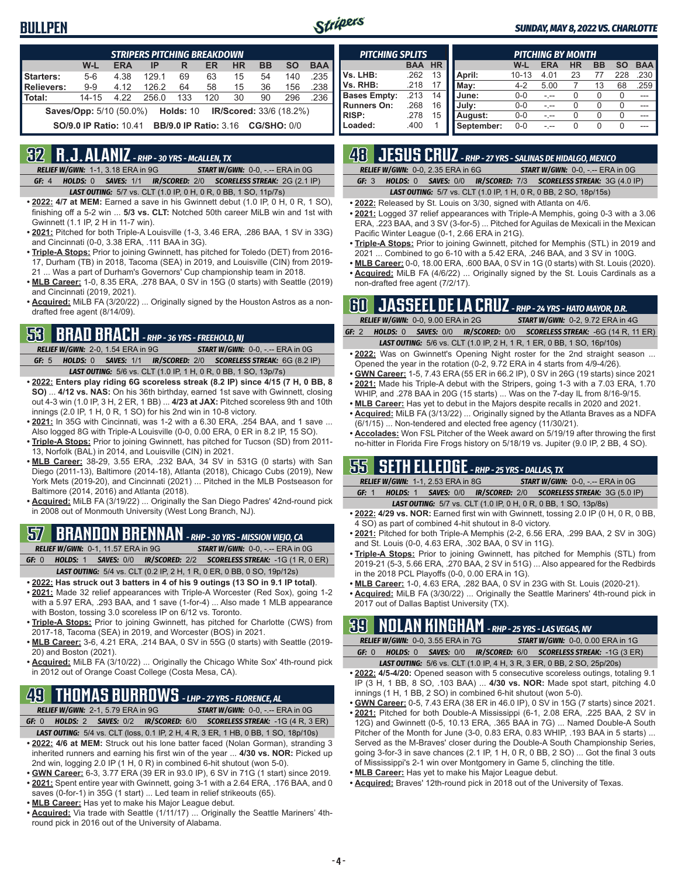### **BULLPEN**



#### *SUNDAY, MAY 8, 2022 VS. CHARLOTTE*

| <b>STRIPERS PITCHING BREAKDOWN</b> |                                |            |       |                                          |     |                                |           |           |            |  |
|------------------------------------|--------------------------------|------------|-------|------------------------------------------|-----|--------------------------------|-----------|-----------|------------|--|
|                                    | W-L                            | <b>ERA</b> | IP    | R                                        | ER  | <b>HR</b>                      | <b>BB</b> | <b>SO</b> | <b>BAA</b> |  |
| Starters:                          | $5-6$                          | 4.38       | 129.1 | 69                                       | 63  | 15                             | 54        | 140       | .235       |  |
| <b>Relievers:</b>                  | $9 - 9$                        | 4.12       | 126.2 | 64                                       | 58  | 15                             | 36        | 156       | .238       |  |
| Total:                             | $14 - 15$                      | 4.22       | 256.0 | 133                                      | 120 | 30                             | 90        | 296       | .236       |  |
|                                    | <b>Saves/Opp:</b> 5/10 (50.0%) |            |       | <b>Holds: 10</b>                         |     | <b>IR/Scored: 33/6 (18.2%)</b> |           |           |            |  |
|                                    | <b>SO/9.0 IP Ratio: 10.41</b>  |            |       | <b>BB/9.0 IP Ratio: 3.16 CG/SHO: 0/0</b> |     |                                |           |           |            |  |

### **32 R.J. ALANIZ** *- RHP - 30 YRS - McALLEN, TX*

*RELIEF W/GWN:*1-1, 3.18 ERA in 9G *START W/GWN:*0-0, -.-- ERA in 0G *GF:*4 *HOLDS:*0 *SAVES:*1/1 *IR/SCORED:*2/0 *SCORELESS STREAK:*2G (2.1 IP)

*LAST OUTING:*5/7 vs. CLT (1.0 IP, 0 H, 0 R, 0 BB, 1 SO, 11p/7s)

- **• 2022: 4/7 at MEM:** Earned a save in his Gwinnett debut (1.0 IP, 0 H, 0 R, 1 SO), finishing off a 5-2 win ... **5/3 vs. CLT:** Notched 50th career MiLB win and 1st with Gwinnett (1.1 IP, 2 H in 11-7 win).
- **• 2021:** Pitched for both Triple-A Louisville (1-3, 3.46 ERA, .286 BAA, 1 SV in 33G) and Cincinnati (0-0, 3.38 ERA, .111 BAA in 3G).
- **• Triple-A Stops:** Prior to joining Gwinnett, has pitched for Toledo (DET) from 2016- 17, Durham (TB) in 2018, Tacoma (SEA) in 2019, and Louisville (CIN) from 2019- 21 ... Was a part of Durham's Governors' Cup championship team in 2018.
- **• MLB Career:** 1-0, 8.35 ERA, .278 BAA, 0 SV in 15G (0 starts) with Seattle (2019) and Cincinnati (2019, 2021).
- **• Acquired:** MiLB FA (3/20/22) ... Originally signed by the Houston Astros as a nondrafted free agent (8/14/09).

### **53 BRAD BRACH** *- RHP - 36 YRS - FREEHOLD, NJ*

*RELIEF W/GWN:*2-0, 1.54 ERA in 9G *START W/GWN:*0-0, -.-- ERA in 0G *GF:*5 *HOLDS:*0 *SAVES:*1/1 *IR/SCORED:*2/0 *SCORELESS STREAK:*6G (8.2 IP) *LAST OUTING:*5/6 vs. CLT (1.0 IP, 1 H, 0 R, 0 BB, 1 SO, 13p/7s)

- **• 2022: Enters play riding 6G scoreless streak (8.2 IP) since 4/15 (7 H, 0 BB, 8 SO)** ... **4/12 vs. NAS:** On his 36th birthday, earned 1st save with Gwinnett, closing out 4-3 win (1.0 IP, 3 H, 2 ER, 1 BB) ... **4/23 at JAX:** Pitched scoreless 9th and 10th innings (2.0 IP, 1 H, 0 R, 1 SO) for his 2nd win in 10-8 victory.
- **• 2021:** In 35G with Cincinnati, was 1-2 with a 6.30 ERA, .254 BAA, and 1 save ... Also logged 8G with Triple-A Louisville (0-0, 0.00 ERA, 0 ER in 8.2 IP, 15 SO).
- **• Triple-A Stops:** Prior to joining Gwinnett, has pitched for Tucson (SD) from 2011- 13, Norfolk (BAL) in 2014, and Louisville (CIN) in 2021.
- **• MLB Career:** 38-29, 3.55 ERA, .232 BAA, 34 SV in 531G (0 starts) with San Diego (2011-13), Baltimore (2014-18), Atlanta (2018), Chicago Cubs (2019), New York Mets (2019-20), and Cincinnati (2021) ... Pitched in the MLB Postseason for Baltimore (2014, 2016) and Atlanta (2018).
- **• Acquired:** MiLB FA (3/19/22) ... Originally the San Diego Padres' 42nd-round pick in 2008 out of Monmouth University (West Long Branch, NJ).

## **57 BRANDON BRENNAN** *- RHP - 30 YRS - MISSION VIEJO, CA*

*RELIEF W/GWN:*0-1, 11.57 ERA in 9G *START W/GWN:*0-0, -.-- ERA in 0G *GF:*0 *HOLDS:*1 *SAVES:*0/0 *IR/SCORED:*2/2 *SCORELESS STREAK:*-1G (1 R, 0 ER)

- *LAST OUTING:*5/4 vs. CLT (0.2 IP, 2 H, 1 R, 0 ER, 0 BB, 0 SO, 19p/12s)
- **• 2022: Has struck out 3 batters in 4 of his 9 outings (13 SO in 9.1 IP total)**. **• 2021:** Made 32 relief appearances with Triple-A Worcester (Red Sox), going 1-2 with a 5.97 ERA, .293 BAA, and 1 save (1-for-4) ... Also made 1 MLB appearance with Boston, tossing 3.0 scoreless IP on 6/12 vs. Toronto.
- **• Triple-A Stops:** Prior to joining Gwinnett, has pitched for Charlotte (CWS) from 2017-18, Tacoma (SEA) in 2019, and Worcester (BOS) in 2021.
- **• MLB Career:** 3-6, 4.21 ERA, .214 BAA, 0 SV in 55G (0 starts) with Seattle (2019- 20) and Boston (2021).
- **• Acquired:** MiLB FA (3/10/22) ... Originally the Chicago White Sox' 4th-round pick in 2012 out of Orange Coast College (Costa Mesa, CA).

## **49 THOMAS BURROWS** *- LHP - 27 YRS - FLORENCE, AL*

*RELIEF W/GWN:*2-1, 5.79 ERA in 9G *START W/GWN:*0-0, -.-- ERA in 0G *GF:*0 *HOLDS:*2 *SAVES:*0/2 *IR/SCORED:*6/0 *SCORELESS STREAK:*-1G (4 R, 3 ER)

- *LAST OUTING:*5/4 vs. CLT (loss, 0.1 IP, 2 H, 4 R, 3 ER, 1 HB, 0 BB, 1 SO, 18p/10s)
- **• 2022: 4/6 at MEM:** Struck out his lone batter faced (Nolan Gorman), stranding 3 inherited runners and earning his first win of the year ... **4/30 vs. NOR:** Picked up 2nd win, logging 2.0 IP (1 H, 0 R) in combined 6-hit shutout (won 5-0).
- **• GWN Career:** 6-3, 3.77 ERA (39 ER in 93.0 IP), 6 SV in 71G (1 start) since 2019.
- **• 2021:** Spent entire year with Gwinnett, going 3-1 with a 2.64 ERA, .176 BAA, and 0 saves (0-for-1) in 35G (1 start) ... Led team in relief strikeouts (65).
- 
- **• MLB Career:** Has yet to make his Major League debut.
- **• Acquired:** Via trade with Seattle (1/11/17) ... Originally the Seattle Mariners' 4thround pick in 2016 out of the University of Alabama.

| <b>PITCHING SPLITS</b> |            |           |            |           | <b>PITCHING BY MONTH</b> |           |                  |           |            |
|------------------------|------------|-----------|------------|-----------|--------------------------|-----------|------------------|-----------|------------|
|                        | <b>BAA</b> | <b>HR</b> |            | W-L       | <b>ERA</b>               | <b>HR</b> | <b>BB</b>        | <b>SO</b> | <b>BAA</b> |
| Vs. LHB:               | .262       | 13        | April:     | $10 - 13$ | 4.01                     | 23        |                  | 228       | 230        |
| Vs. RHB:               | .218       |           | Mav:       | $4 - 2$   | 5.00                     |           | 13               | 68        | 259        |
| <b>Bases Empty:</b>    | .213       | 14        | June:      | $0 - 0$   |                          |           | $\left( \right)$ | 0         |            |
| <b>Runners On:</b>     | .268       | 16        | July:      | $0 - 0$   |                          |           | $\cup$           |           |            |
| <b>RISP:</b>           | .278       | 15        | August:    | $0 - 0$   |                          |           | $\cup$           | 0         |            |
| Loaded:                | .400       |           | September: | $0 - 0$   |                          |           | O                | 0         |            |

## **48 JESUS CRUZ** *- RHP - 27 YRS - SALINAS DE HIDALGO, MEXICO*

*RELIEF W/GWN:*0-0, 2.35 ERA in 6G *START W/GWN:*0-0, -.-- ERA in 0G

*GF:*3 *HOLDS:*0 *SAVES:*0/0 *IR/SCORED:*7/3 *SCORELESS STREAK:*3G (4.0 IP)

*LAST OUTING:*5/7 vs. CLT (1.0 IP, 1 H, 0 R, 0 BB, 2 SO, 18p/15s)

- **• 2022:** Released by St. Louis on 3/30, signed with Atlanta on 4/6. **• 2021:** Logged 37 relief appearances with Triple-A Memphis, going 0-3 with a 3.06
- ERA, .223 BAA, and 3 SV (3-for-5) ... Pitched for Aguilas de Mexicali in the Mexican Pacific Winter League (0-1, 2.66 ERA in 21G).
- **• Triple-A Stops:** Prior to joining Gwinnett, pitched for Memphis (STL) in 2019 and 2021 ... Combined to go 6-10 with a 5.42 ERA, .246 BAA, and 3 SV in 100G.
- **• MLB Career:** 0-0, 18.00 ERA, .600 BAA, 0 SV in 1G (0 starts) with St. Louis (2020). **• Acquired:** MiLB FA (4/6/22) ... Originally signed by the St. Louis Cardinals as a non-drafted free agent (7/2/17).

|  |                                   | <b>BIL JASSEEL DE LA CRUZ</b> - RHP - 24 YRS - HATO MAYOR, D.R.               |  |
|--|-----------------------------------|-------------------------------------------------------------------------------|--|
|  |                                   |                                                                               |  |
|  | RELIEF W/GWN: 0-0, 9.00 ERA in 2G | <b>START W/GWN: 0-2, 9.72 ERA in 4G</b>                                       |  |
|  |                                   | GF: 2 HOLDS: 0 SAVES: 0/0 IR/SCORED: 0/0 SCORELESS STREAK: -6G (14 R, 11 ER)  |  |
|  |                                   | <b>LAST OUTING:</b> 5/6 vs. CLT (1.0 IP, 2 H, 1 R, 1 ER, 0 BB, 1 SO, 16p/10s) |  |

- **• 2022:** Was on Gwinnett's Opening Night roster for the 2nd straight season ... Opened the year in the rotation (0-2, 9.72 ERA in 4 starts from 4/9-4/26).
- **• GWN Career:** 1-5, 7.43 ERA (55 ER in 66.2 IP), 0 SV in 26G (19 starts) since 2021 **• 2021:** Made his Triple-A debut with the Stripers, going 1-3 with a 7.03 ERA, 1.70
- WHIP, and .278 BAA in 20G (15 starts) ... Was on the 7-day IL from 8/16-9/15. **• MLB Career:** Has yet to debut in the Majors despite recalls in 2020 and 2021.
- **• Acquired:** MiLB FA (3/13/22) ... Originally signed by the Atlanta Braves as a NDFA (6/1/15) ... Non-tendered and elected free agency (11/30/21).
- **• Accolades:** Won FSL Pitcher of the Week award on 5/19/19 after throwing the first no-hitter in Florida Fire Frogs history on 5/18/19 vs. Jupiter (9.0 IP, 2 BB, 4 SO).

### **55 SETH ELLEDGE** *- RHP - 25 YRS - DALLAS, TX*

|  | <b>RELIEF W/GWN: 1-1, 2.53 ERA in 8G</b> | <b>START W/GWN: 0-0, -.-- ERA in 0G.</b>                                      |
|--|------------------------------------------|-------------------------------------------------------------------------------|
|  |                                          | <b>GF: 1 HOLDS: 1 SAVES: 0/0 IR/SCORED: 2/0 SCORELESS STREAK: 3G (5.0 IP)</b> |
|  |                                          |                                                                               |

- *LAST OUTING:*5/7 vs. CLT (1.0 IP, 0 H, 0 R, 0 BB, 1 SO, 13p/8s) **• 2022: 4/29 vs. NOR:** Earned first win with Gwinnett, tossing 2.0 IP (0 H, 0 R, 0 BB, 4 SO) as part of combined 4-hit shutout in 8-0 victory.
- **• 2021:** Pitched for both Triple-A Memphis (2-2, 6.56 ERA, .299 BAA, 2 SV in 30G) and St. Louis (0-0, 4.63 ERA, .302 BAA, 0 SV in 11G).
- **• Triple-A Stops:** Prior to joining Gwinnett, has pitched for Memphis (STL) from 2019-21 (5-3, 5.66 ERA, .270 BAA, 2 SV in 51G) ... Also appeared for the Redbirds in the 2018 PCL Playoffs (0-0, 0.00 ERA in 1G).
- **• MLB Career:** 1-0, 4.63 ERA, .282 BAA, 0 SV in 23G with St. Louis (2020-21).
- **• Acquired:** MiLB FA (3/30/22) ... Originally the Seattle Mariners' 4th-round pick in 2017 out of Dallas Baptist University (TX).

### **39 NOLAN KINGHAM** *- RHP - 25 YRS - LAS VEGAS, NV*

|       |  | <b>RELIEF W/GWN: 0-0, 3.55 ERA in 7G</b>                               |  | <b>START W/GWN: 0-0, 0.00 ERA in 1G</b> |  |
|-------|--|------------------------------------------------------------------------|--|-----------------------------------------|--|
| GF: 0 |  | <b>HOLDS: 0 SAVES: 0/0 IR/SCORED: 6/0 SCORELESS STREAK: -1G (3 ER)</b> |  |                                         |  |

- *LAST OUTING:*5/6 vs. CLT (1.0 IP, 4 H, 3 R, 3 ER, 0 BB, 2 SO, 25p/20s)
- **• 2022: 4/5-4/20:** Opened season with 5 consecutive scoreless outings, totaling 9.1 IP (3 H, 1 BB, 8 SO, .103 BAA) ... **4/30 vs. NOR:** Made spot start, pitching 4.0 innings (1 H, 1 BB, 2 SO) in combined 6-hit shutout (won 5-0).
- **• GWN Career:** 0-5, 7.43 ERA (38 ER in 46.0 IP), 0 SV in 15G (7 starts) since 2021.
- **• 2021:** Pitched for both Double-A Mississippi (6-1, 2.08 ERA, .225 BAA, 2 SV in 12G) and Gwinnett (0-5, 10.13 ERA, .365 BAA in 7G) ... Named Double-A South Pitcher of the Month for June (3-0, 0.83 ERA, 0.83 WHIP, .193 BAA in 5 starts) ... Served as the M-Braves' closer during the Double-A South Championship Series, going 3-for-3 in save chances (2.1 IP, 1 H, 0 R, 0 BB, 2 SO) ... Got the final 3 outs of Mississippi's 2-1 win over Montgomery in Game 5, clinching the title.
- **• MLB Career:** Has yet to make his Major League debut.
- **• Acquired:** Braves' 12th-round pick in 2018 out of the University of Texas.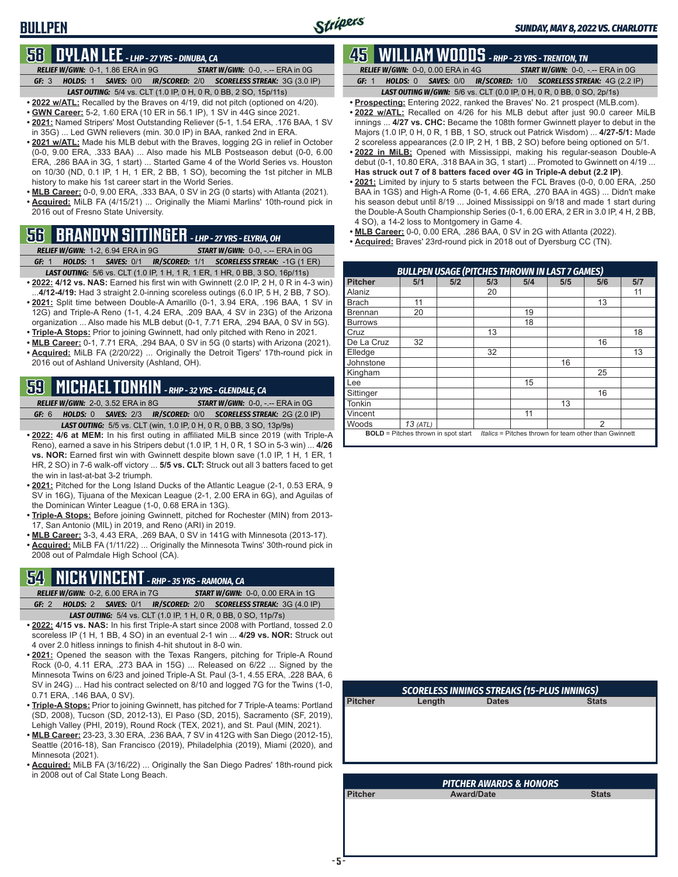### **BULLPEN**

### **58 DYLAN LEE** *- LHP - 27 YRS - DINUBA, CA*

*RELIEF W/GWN:*0-1, 1.86 ERA in 9G *START W/GWN:*0-0, -.-- ERA in 0G *GF:*3 *HOLDS:*1 *SAVES:*0/0 *IR/SCORED:*2/0 *SCORELESS STREAK:*3G (3.0 IP) *LAST OUTING:*5/4 vs. CLT (1.0 IP, 0 H, 0 R, 0 BB, 2 SO, 15p/11s)

**• 2022 w/ATL:** Recalled by the Braves on 4/19, did not pitch (optioned on 4/20).

- **• GWN Career:** 5-2, 1.60 ERA (10 ER in 56.1 IP), 1 SV in 44G since 2021.
- **• 2021:** Named Stripers' Most Outstanding Reliever (5-1, 1.54 ERA, .176 BAA, 1 SV in 35G) ... Led GWN relievers (min. 30.0 IP) in BAA, ranked 2nd in ERA.
- **• 2021 w/ATL:** Made his MLB debut with the Braves, logging 2G in relief in October (0-0, 9.00 ERA, .333 BAA) ... Also made his MLB Postseason debut (0-0, 6.00 ERA, .286 BAA in 3G, 1 start) ... Started Game 4 of the World Series vs. Houston on 10/30 (ND, 0.1 IP, 1 H, 1 ER, 2 BB, 1 SO), becoming the 1st pitcher in MLB history to make his 1st career start in the World Series.
- **• MLB Career:** 0-0, 9.00 ERA, .333 BAA, 0 SV in 2G (0 starts) with Atlanta (2021). **• Acquired:** MiLB FA (4/15/21) ... Originally the Miami Marlins' 10th-round pick in 2016 out of Fresno State University.

## **56 BRANDYN SITTINGER** *- LHP - 27 YRS - ELYRIA, OH*

*RELIEF W/GWN:*1-2, 6.94 ERA in 9G *START W/GWN:*0-0, -.-- ERA in 0G *GF:*1 *HOLDS:*1 *SAVES:*0/1 *IR/SCORED:*1/1 *SCORELESS STREAK:*-1G (1 ER)

- *LAST OUTING:*5/6 vs. CLT (1.0 IP, 1 H, 1 R, 1 ER, 1 HR, 0 BB, 3 SO, 16p/11s)
- **• 2022: 4/12 vs. NAS:** Earned his first win with Gwinnett (2.0 IP, 2 H, 0 R in 4-3 win) ...**4/12-4/19:** Had 3 straight 2.0-inning scoreless outings (6.0 IP, 5 H, 2 BB, 7 SO).
- **• 2021:** Split time between Double-A Amarillo (0-1, 3.94 ERA, .196 BAA, 1 SV in 12G) and Triple-A Reno (1-1, 4.24 ERA, .209 BAA, 4 SV in 23G) of the Arizona organization ... Also made his MLB debut (0-1, 7.71 ERA, .294 BAA, 0 SV in 5G). **• Triple-A Stops:** Prior to joining Gwinnett, had only pitched with Reno in 2021.
- **• MLB Career:** 0-1, 7.71 ERA, .294 BAA, 0 SV in 5G (0 starts) with Arizona (2021).
- **• Acquired:** MiLB FA (2/20/22) ... Originally the Detroit Tigers' 17th-round pick in 2016 out of Ashland University (Ashland, OH).

## **59 MICHAEL TONKIN** *- RHP - 32 YRS - GLENDALE, CA*

*RELIEF W/GWN:*2-0, 3.52 ERA in 8G *START W/GWN:*0-0, -.-- ERA in 0G *GF:*6 *HOLDS:*0 *SAVES:*2/3 *IR/SCORED:*0/0 *SCORELESS STREAK:*2G (2.0 IP) *LAST OUTING:*5/5 vs. CLT (win, 1.0 IP, 0 H, 0 R, 0 BB, 3 SO, 13p/9s)

- **• 2022: 4/6 at MEM:** In his first outing in affiliated MiLB since 2019 (with Triple-A Reno), earned a save in his Stripers debut (1.0 IP, 1 H, 0 R, 1 SO in 5-3 win) ... **4/26 vs. NOR:** Earned first win with Gwinnett despite blown save (1.0 IP, 1 H, 1 ER, 1 HR, 2 SO) in 7-6 walk-off victory ... **5/5 vs. CLT:** Struck out all 3 batters faced to get the win in last-at-bat 3-2 triumph.
- **• 2021:** Pitched for the Long Island Ducks of the Atlantic League (2-1, 0.53 ERA, 9 SV in 16G), Tijuana of the Mexican League (2-1, 2.00 ERA in 6G), and Aguilas of the Dominican Winter League (1-0, 0.68 ERA in 13G).
- **• Triple-A Stops:** Before joining Gwinnett, pitched for Rochester (MIN) from 2013- 17, San Antonio (MIL) in 2019, and Reno (ARI) in 2019.
- **• MLB Career:** 3-3, 4.43 ERA, .269 BAA, 0 SV in 141G with Minnesota (2013-17).
- **• Acquired:** MiLB FA (1/11/22) ... Originally the Minnesota Twins' 30th-round pick in 2008 out of Palmdale High School (CA).

## **54 NICK VINCENT** *- RHP - 35 YRS - RAMONA, CA*

*RELIEF W/GWN:*0-2, 6.00 ERA in 7G *START W/GWN:*0-0, 0.00 ERA in 1G *GF:*2 *HOLDS:*2 *SAVES:*0/1 *IR/SCORED:*2/0 *SCORELESS STREAK:*3G (4.0 IP)

- *LAST OUTING:*5/4 vs. CLT (1.0 IP, 1 H, 0 R, 0 BB, 0 SO, 11p/7s)
- **• 2022: 4/15 vs. NAS:** In his first Triple-A start since 2008 with Portland, tossed 2.0 scoreless IP (1 H, 1 BB, 4 SO) in an eventual 2-1 win ... **4/29 vs. NOR:** Struck out 4 over 2.0 hitless innings to finish 4-hit shutout in 8-0 win.
- **• 2021:** Opened the season with the Texas Rangers, pitching for Triple-A Round Rock (0-0, 4.11 ERA, .273 BAA in 15G) ... Released on 6/22 ... Signed by the Minnesota Twins on 6/23 and joined Triple-A St. Paul (3-1, 4.55 ERA, .228 BAA, 6 SV in 24G) ... Had his contract selected on 8/10 and logged 7G for the Twins (1-0, 0.71 ERA, .146 BAA, 0 SV).
- **• Triple-A Stops:** Prior to joining Gwinnett, has pitched for 7 Triple-A teams: Portland (SD, 2008), Tucson (SD, 2012-13), El Paso (SD, 2015), Sacramento (SF, 2019), Lehigh Valley (PHI, 2019), Round Rock (TEX, 2021), and St. Paul (MIN, 2021).
- **• MLB Career:** 23-23, 3.30 ERA, .236 BAA, 7 SV in 412G with San Diego (2012-15), Seattle (2016-18), San Francisco (2019), Philadelphia (2019), Miami (2020), and Minnesota (2021).
- **• Acquired:** MiLB FA (3/16/22) ... Originally the San Diego Padres' 18th-round pick in 2008 out of Cal State Long Beach.

## **45 WILLIAM WOODS** *- RHP - 23 YRS - TRENTON, TN*

*RELIEF W/GWN:*0-0, 0.00 ERA in 4G *START W/GWN:*0-0, -.-- ERA in 0G *GF:*1 *HOLDS:*0 *SAVES:*0/0 *IR/SCORED:*1/0 *SCORELESS STREAK:*4G (2.2 IP)

- *LAST OUTING W/GWN:*5/6 vs. CLT (0.0 IP, 0 H, 0 R, 0 BB, 0 SO, 2p/1s) **• Prospecting:** Entering 2022, ranked the Braves' No. 21 prospect (MLB.com).
- **• 2022 w/ATL:** Recalled on 4/26 for his MLB debut after just 90.0 career MiLB innings ... **4/27 vs. CHC:** Became the 108th former Gwinnett player to debut in the Majors (1.0 IP, 0 H, 0 R, 1 BB, 1 SO, struck out Patrick Wisdom) ... **4/27-5/1:** Made 2 scoreless appearances (2.0 IP, 2 H, 1 BB, 2 SO) before being optioned on 5/1.
- **• 2022 in MiLB:** Opened with Mississippi, making his regular-season Double-A debut (0-1, 10.80 ERA, .318 BAA in 3G, 1 start) ... Promoted to Gwinnett on 4/19 ... **Has struck out 7 of 8 batters faced over 4G in Triple-A debut (2.2 IP)**.
- **• 2021:** Limited by injury to 5 starts between the FCL Braves (0-0, 0.00 ERA, .250 BAA in 1GS) and High-A Rome (0-1, 4.66 ERA, .270 BAA in 4GS) ... Didn't make his season debut until 8/19 ... Joined Mississippi on 9/18 and made 1 start during the Double-A South Championship Series (0-1, 6.00 ERA, 2 ER in 3.0 IP, 4 H, 2 BB, 4 SO), a 14-2 loss to Montgomery in Game 4.
- **• MLB Career:** 0-0, 0.00 ERA, .286 BAA, 0 SV in 2G with Atlanta (2022).
- **• Acquired:** Braves' 23rd-round pick in 2018 out of Dyersburg CC (TN).

|                | <b>BULLPEN USAGE (PITCHES THROWN IN LAST 7 GAMES)</b> |     |     |                                                       |     |     |     |  |  |  |
|----------------|-------------------------------------------------------|-----|-----|-------------------------------------------------------|-----|-----|-----|--|--|--|
| <b>Pitcher</b> | 5/1                                                   | 5/2 | 5/3 | 5/4                                                   | 5/5 | 5/6 | 5/7 |  |  |  |
| Alaniz         |                                                       |     | 20  |                                                       |     |     | 11  |  |  |  |
| <b>Brach</b>   | 11                                                    |     |     |                                                       |     | 13  |     |  |  |  |
| <b>Brennan</b> | 20                                                    |     |     | 19                                                    |     |     |     |  |  |  |
| <b>Burrows</b> |                                                       |     |     | 18                                                    |     |     |     |  |  |  |
| Cruz           |                                                       |     | 13  |                                                       |     |     | 18  |  |  |  |
| De La Cruz     | 32                                                    |     |     |                                                       |     | 16  |     |  |  |  |
| Elledge        |                                                       |     | 32  |                                                       |     |     | 13  |  |  |  |
| Johnstone      |                                                       |     |     |                                                       | 16  |     |     |  |  |  |
| Kingham        |                                                       |     |     |                                                       |     | 25  |     |  |  |  |
| Lee            |                                                       |     |     | 15                                                    |     |     |     |  |  |  |
| Sittinger      |                                                       |     |     |                                                       |     | 16  |     |  |  |  |
| Tonkin         |                                                       |     |     |                                                       | 13  |     |     |  |  |  |
| Vincent        |                                                       |     |     | 11                                                    |     |     |     |  |  |  |
| Woods          | $13$ (ATL)                                            |     |     |                                                       |     | っ   |     |  |  |  |
|                | <b>BOLD</b> = Pitches thrown in spot start            |     |     | Italics = Pitches thrown for team other than Gwinnett |     |     |     |  |  |  |

| <b>SCORELESS INNINGS STREAKS (15-PLUS INNINGS)</b> |        |              |              |  |  |  |  |  |
|----------------------------------------------------|--------|--------------|--------------|--|--|--|--|--|
| <b>Pitcher</b>                                     | Length | <b>Dates</b> | <b>Stats</b> |  |  |  |  |  |
|                                                    |        |              |              |  |  |  |  |  |
|                                                    |        |              |              |  |  |  |  |  |
|                                                    |        |              |              |  |  |  |  |  |
|                                                    |        |              |              |  |  |  |  |  |
|                                                    |        |              |              |  |  |  |  |  |

| <b>PITCHER AWARDS &amp; HONORS</b> |                   |              |  |  |  |  |  |  |  |
|------------------------------------|-------------------|--------------|--|--|--|--|--|--|--|
| <b>Pitcher</b>                     | <b>Award/Date</b> | <b>Stats</b> |  |  |  |  |  |  |  |
|                                    |                   |              |  |  |  |  |  |  |  |
|                                    |                   |              |  |  |  |  |  |  |  |
|                                    |                   |              |  |  |  |  |  |  |  |
|                                    |                   |              |  |  |  |  |  |  |  |
|                                    |                   |              |  |  |  |  |  |  |  |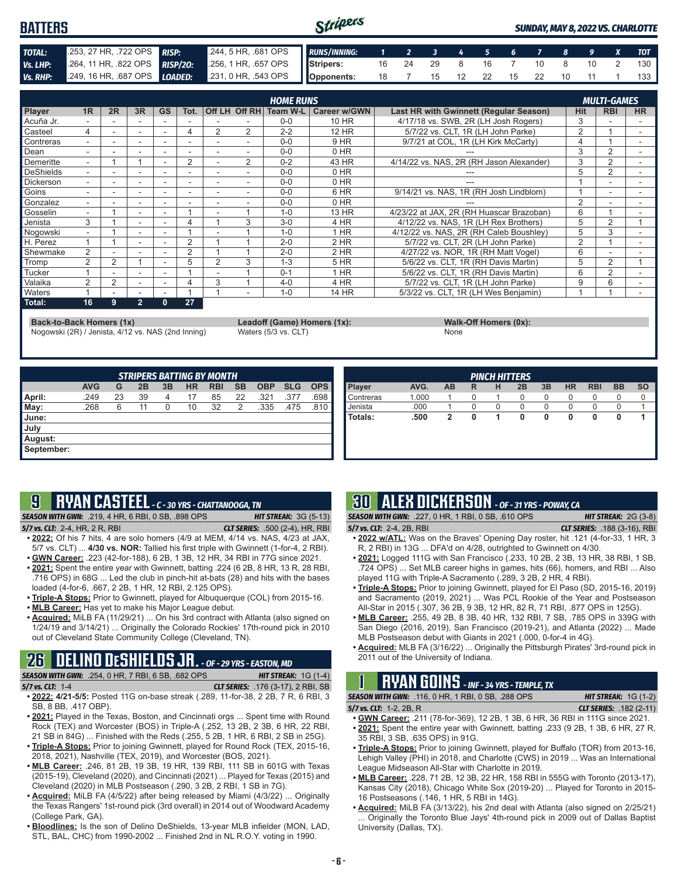#### Stripers **BATTERS** *SUNDAY, MAY 8, 2022 VS. CHARLOTTE TOTAL:* .253, 27 HR, .722 OPS *RISP:* .244, 5 HR, .681 OPS *RUNS/INNING: 1 2 3 4 5 6 7 8 9 X TOT Vs. LHP:* .264, 11 HR, .822 OPS *RISP/2O:* .256, 1 HR, .657 OPS **Stripers:** 16 24 29 8 16 7 10 8 10 2 130 *Vs. RHP:* .249, 16 HR, .687 OPS *LOADED:* .231, 0 HR, .543 OPS **Opponents:** 18 7 15 12 22 15 22 10 11 1 133

|                  |                          |                |                          |           |      |                |                | <b>HOME RUNS</b> |              |                                          |                | <b>MULTI-GAMES</b> |                          |
|------------------|--------------------------|----------------|--------------------------|-----------|------|----------------|----------------|------------------|--------------|------------------------------------------|----------------|--------------------|--------------------------|
| <b>Player</b>    | 1R                       | 2R             | 3R                       | <b>GS</b> | Tot. |                | Off LH Off RH  | Team W-L         | Career w/GWN | Last HR with Gwinnett (Regular Season)   | <b>Hit</b>     | <b>RBI</b>         | <b>HR</b>                |
| ∎Acuña Jr.       |                          |                |                          |           |      |                |                | $0 - 0$          | 10 HR        | 4/17/18 vs. SWB, 2R (LH Josh Rogers)     | 3              |                    |                          |
| Casteel          | 4                        |                | $\overline{\phantom{a}}$ |           | 4    | 2              | 2              | $2 - 2$          | 12 HR        | 5/7/22 vs. CLT, 1R (LH John Parke)       | $\overline{2}$ |                    |                          |
| Contreras        | $\sim$                   |                | $\overline{\phantom{a}}$ |           |      |                |                | $0 - 0$          | 9 HR         | 9/7/21 at COL, 1R (LH Kirk McCarty)      | 4              |                    | $\overline{\phantom{a}}$ |
| Dean             |                          |                | $\overline{\phantom{a}}$ | ۰         |      |                |                | $0 - 0$          | 0 HR         |                                          | 3              |                    |                          |
| Demeritte        |                          |                |                          |           | 2    |                | $\mathfrak{p}$ | $0 - 2$          | 43 HR        | 4/14/22 vs. NAS, 2R (RH Jason Alexander) | 3              | $\overline{2}$     |                          |
| DeShields        | ۰.                       |                | $\overline{\phantom{a}}$ |           |      | ۰              |                | $0 - 0$          | 0 HR         | ---                                      | 5              | 2                  | $\overline{\phantom{a}}$ |
| <b>Dickerson</b> | ۰.                       |                | $\overline{\phantom{a}}$ |           |      |                |                | $0 - 0$          | 0 HR         |                                          |                |                    |                          |
| Goins            |                          |                |                          |           |      |                |                | $0 - 0$          | 6 HR         | 9/14/21 vs. NAS, 1R (RH Josh Lindblom)   |                |                    |                          |
| Gonzalez         | $\sim$                   |                | $\overline{\phantom{a}}$ | -         |      |                |                | $0 - 0$          | 0 HR         |                                          | $\overline{2}$ |                    | $\overline{\phantom{a}}$ |
| Gosselin         | $\overline{\phantom{0}}$ |                | ۰                        | ۰         |      |                |                | $1 - 0$          | 13 HR        | 4/23/22 at JAX. 2R (RH Huascar Brazoban) | 6              |                    |                          |
| l Jenista        | 3                        |                |                          |           |      |                | 3              | $3 - 0$          | 4 HR         | 4/12/22 vs. NAS, 1R (LH Rex Brothers)    | 5              | 2                  |                          |
| Nogowski         | $\sim$                   |                | $\overline{\phantom{a}}$ | ۰         |      |                |                | $1 - 0$          | $1$ HR       | 4/12/22 vs. NAS, 2R (RH Caleb Boushley)  | 5              | 3                  | $\overline{\phantom{a}}$ |
| H. Perez         |                          |                | $\overline{\phantom{a}}$ |           | 2    |                |                | $2 - 0$          | 2 HR         | 5/7/22 vs. CLT. 2R (LH John Parke)       | $\overline{2}$ |                    |                          |
| Shewmake         | 2                        |                |                          |           | C    |                |                | $2 - 0$          | 2 HR         | 4/27/22 vs. NOR, 1R (RH Matt Vogel)      | 6              |                    |                          |
| Tromp            | 2                        | 2              |                          | ۰         | 5    | $\mathfrak{p}$ | 3              | $1 - 3$          | <b>5 HR</b>  | 5/6/22 vs. CLT. 1R (RH Davis Martin)     | 5              | $\overline{2}$     |                          |
| <b>Tucker</b>    |                          |                |                          | ۰         |      |                |                | $0 - 1$          | 1 HR         | 5/6/22 vs. CLT, 1R (RH Davis Martin)     | 6              | 2                  |                          |
| Valaika          | 2                        | 2              |                          |           |      | 3              |                | $4 - 0$          | 4 HR         | 5/7/22 vs. CLT, 1R (LH John Parke)       | 9              | 6                  |                          |
| <b>Waters</b>    |                          | $\blacksquare$ | $\overline{\phantom{a}}$ |           |      |                |                | $1 - 0$          | 14 HR        | 5/3/22 vs. CLT. 1R (LH Wes Benjamin)     |                |                    |                          |
| Total:           | 16                       | 9              | $2^+$                    | 0         | 27   |                |                |                  |              |                                          |                |                    |                          |

**Back-to-Back Homers (1x) Leadoff (Game) Homers (1x): Walk-Off Homers (0x):**

Nogowski (2R) / Jenista, 4/12 vs. NAS (2nd Inning) Waters (5/3 vs. CLT) None

|            |            |    |    |    |           | <b>STRIPERS BATTING BY MONTH</b> |           |            |            |            |
|------------|------------|----|----|----|-----------|----------------------------------|-----------|------------|------------|------------|
|            | <b>AVG</b> | G  | 2B | 3B | <b>HR</b> | <b>RBI</b>                       | <b>SB</b> | <b>OBP</b> | <b>SLG</b> | <b>OPS</b> |
| April:     | .249       | 23 | 39 | 4  | 17        | 85                               | 22        | .321       | .377       | .698       |
| May:       | .268       | 6  | 11 | 0  | 10        | 32                               | 2         | .335       | .475       | .810       |
| June:      |            |    |    |    |           |                                  |           |            |            |            |
| July       |            |    |    |    |           |                                  |           |            |            |            |
| August:    |            |    |    |    |           |                                  |           |            |            |            |
| September: |            |    |    |    |           |                                  |           |            |            |            |

| <b>PINCH HITTERS</b> |       |    |   |   |    |    |           |            |           |           |
|----------------------|-------|----|---|---|----|----|-----------|------------|-----------|-----------|
| Player               | AVG.  | AB | R | н | 2B | 3B | <b>HR</b> | <b>RBI</b> | <b>BB</b> | <b>SO</b> |
| Contreras            | 1.000 |    | 0 |   | 0  | 0  | 0         | $\Omega$   | 0         |           |
| Jenista              | .000  |    | 0 | 0 | 0  | 0  | 0         | 0          |           |           |
| Totals:              | .500  | 2  | 0 | 1 | 0  | 0  | 0         | 0          | 0         |           |
|                      |       |    |   |   |    |    |           |            |           |           |
|                      |       |    |   |   |    |    |           |            |           |           |
|                      |       |    |   |   |    |    |           |            |           |           |
|                      |       |    |   |   |    |    |           |            |           |           |

## **9 RYAN CASTEEL** *- C - 30 YRS - CHATTANOOGA, TN*

*SEASON WITH GWN:*.219, 4 HR, 6 RBI, 0 SB, .898 OPS *HIT STREAK:* 3G (5-13) *5/7 vs. CLT:*2-4, HR, 2 R, RBI *CLT SERIES:* .500 (2-4), HR, RBI

- **• 2022:** Of his 7 hits, 4 are solo homers (4/9 at MEM, 4/14 vs. NAS, 4/23 at JAX, 5/7 vs. CLT) ... **4/30 vs. NOR:** Tallied his first triple with Gwinnett (1-for-4, 2 RBI). **• GWN Career:** .223 (42-for-188), 6 2B, 1 3B, 12 HR, 34 RBI in 77G since 2021.
- **• 2021:** Spent the entire year with Gwinnett, batting .224 (6 2B, 8 HR, 13 R, 28 RBI, .716 OPS) in 68G ... Led the club in pinch-hit at-bats (28) and hits with the bases loaded (4-for-6, .667, 2 2B, 1 HR, 12 RBI, 2.125 OPS).
- **• Triple-A Stops:** Prior to Gwinnett, played for Albuquerque (COL) from 2015-16.
- **• MLB Career:** Has yet to make his Major League debut.
- **• Acquired:** MiLB FA (11/29/21) ... On his 3rd contract with Atlanta (also signed on 1/24/19 and 3/14/21) ... Originally the Colorado Rockies' 17th-round pick in 2010 out of Cleveland State Community College (Cleveland, TN).

# **26 DELINO DESHIELDS JR.** *- OF - 29 YRS - EASTON, MD*

*SEASON WITH GWN:*.254, 0 HR, 7 RBI, 6 SB, .682 OPS *HIT STREAK:* 1G (1-4)

- *5/7 vs. CLT:*1-4 *CLT SERIES:* .176 (3-17), 2 RBI, SB **• 2022: 4/21-5/5:** Posted 11G on-base streak (.289, 11-for-38, 2 2B, 7 R, 6 RBI, 3 SB, 8 BB, .417 OBP).
- **• 2021:** Played in the Texas, Boston, and Cincinnati orgs ... Spent time with Round Rock (TEX) and Worcester (BOS) in Triple-A (.252, 13 2B, 2 3B, 6 HR, 22 RBI, 21 SB in 84G) ... Finished with the Reds (.255, 5 2B, 1 HR, 6 RBI, 2 SB in 25G).
- **• Triple-A Stops:** Prior to joining Gwinnett, played for Round Rock (TEX, 2015-16, 2018, 2021), Nashville (TEX, 2019), and Worcester (BOS, 2021).
- **• MLB Career:** .246, 81 2B, 19 3B, 19 HR, 139 RBI, 111 SB in 601G with Texas (2015-19), Cleveland (2020), and Cincinnati (2021) ... Played for Texas (2015) and Cleveland (2020) in MLB Postseason (.290, 3 2B, 2 RBI, 1 SB in 7G).
- **• Acquired:** MiLB FA (4/5/22) after being released by Miami (4/3/22) ... Originally the Texas Rangers' 1st-round pick (3rd overall) in 2014 out of Woodward Academy (College Park, GA).
- **• Bloodlines:** Is the son of Delino DeShields, 13-year MLB infielder (MON, LAD, STL, BAL, CHC) from 1990-2002 ... Finished 2nd in NL R.O.Y. voting in 1990.

## **30 ALEX DICKERSON** *- OF - 31 YRS - POWAY, CA*

*SEASON WITH GWN:*.227, 0 HR, 1 RBI, 0 SB, .610 OPS *HIT STREAK:* 2G (3-8)

- *5/7 vs. CLT:*2-4, 2B, RBI *CLT SERIES:* .188 (3-16), RBI **• 2022 w/ATL:** Was on the Braves' Opening Day roster, hit .121 (4-for-33, 1 HR, 3 R, 2 RBI) in 13G ... DFA'd on 4/28, outrighted to Gwinnett on 4/30.
- **• 2021:** Logged 111G with San Francisco (.233, 10 2B, 2 3B, 13 HR, 38 RBI, 1 SB, .724 OPS) ... Set MLB career highs in games, hits (66), homers, and RBI ... Also played 11G with Triple-A Sacramento (.289, 3 2B, 2 HR, 4 RBI).
- **• Triple-A Stops:** Prior to joining Gwinnett, played for El Paso (SD, 2015-16, 2019) and Sacramento (2019, 2021) ... Was PCL Rookie of the Year and Postseason All-Star in 2015 (.307, 36 2B, 9 3B, 12 HR, 82 R, 71 RBI, .877 OPS in 125G).
- **• MLB Career:** .255, 49 2B, 8 3B, 40 HR, 132 RBI, 7 SB, .785 OPS in 339G with San Diego (2016, 2019), San Francisco (2019-21), and Atlanta (2022) ... Made MLB Postseason debut with Giants in 2021 (.000, 0-for-4 in 4G).
- **• Acquired:** MLB FA (3/16/22) ... Originally the Pittsburgh Pirates' 3rd-round pick in 2011 out of the University of Indiana.

## **1 RYAN GOINS** *- INF - 34 YRS - TEMPLE, TX*

*SEASON WITH GWN:*.116, 0 HR, 1 RBI, 0 SB, .288 OPS *HIT STREAK:* 1G (1-2) *5/7 vs. CLT:*1-2, 2B, R *CLT SERIES:* .182 (2-11)

**• GWN Career:** .211 (78-for-369), 12 2B, 1 3B, 6 HR, 36 RBI in 111G since 2021. **• 2021:** Spent the entire year with Gwinnett, batting .233 (9 2B, 1 3B, 6 HR, 27 R,

- 35 RBI, 3 SB, .635 OPS) in 91G. **• Triple-A Stops:** Prior to joining Gwinnett, played for Buffalo (TOR) from 2013-16, Lehigh Valley (PHI) in 2018, and Charlotte (CWS) in 2019 ... Was an International League Midseason All-Star with Charlotte in 2019.
- **• MLB Career:** .228, 71 2B, 12 3B, 22 HR, 158 RBI in 555G with Toronto (2013-17), Kansas City (2018), Chicago White Sox (2019-20) ... Played for Toronto in 2015- 16 Postseasons (.146, 1 HR, 5 RBI in 14G).
- **• Acquired:** MiLB FA (3/13/22), his 2nd deal with Atlanta (also signed on 2/25/21) ... Originally the Toronto Blue Jays' 4th-round pick in 2009 out of Dallas Baptist University (Dallas, TX).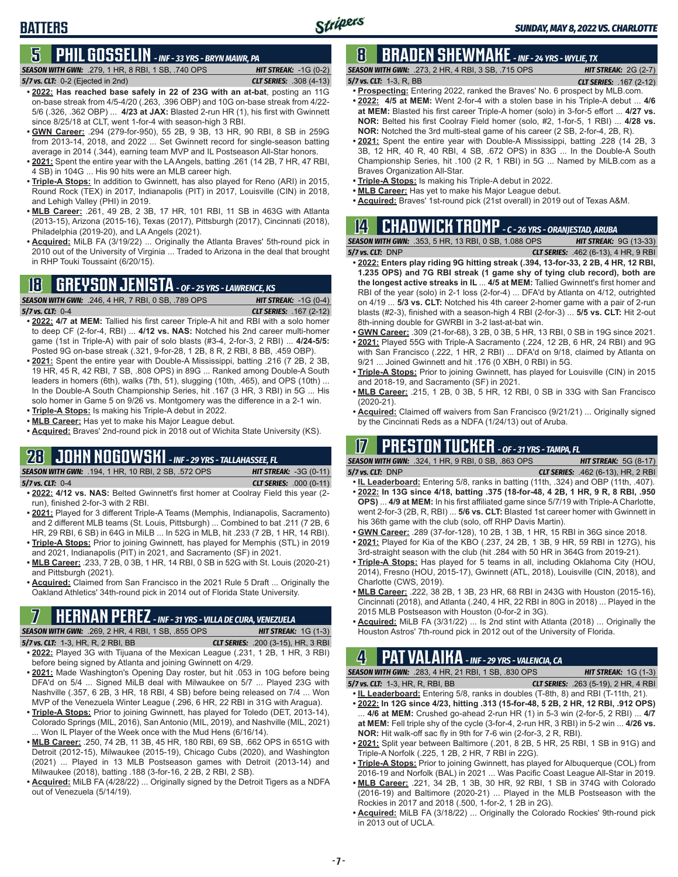## **BATTERS**

### **5 PHIL GOSSELIN** *- INF - 33 YRS - BRYN MAWR, PA*

*SEASON WITH GWN:*.279, 1 HR, 8 RBI, 1 SB, .740 OPS *HIT STREAK:* -1G (0-2) *5/7 vs. CLT:*0-2 (Ejected in 2nd) *CLT SERIES:* .308 (4-13)

- **• 2022: Has reached base safely in 22 of 23G with an at-bat**, posting an 11G on-base streak from 4/5-4/20 (.263, .396 OBP) and 10G on-base streak from 4/22- 5/6 (.326, .362 OBP) ... **4/23 at JAX:** Blasted 2-run HR (1), his first with Gwinnett since 8/25/18 at CLT, went 1-for-4 with season-high 3 RBI.
- **• GWN Career:** .294 (279-for-950), 55 2B, 9 3B, 13 HR, 90 RBI, 8 SB in 259G from 2013-14, 2018, and 2022 ... Set Gwinnett record for single-season batting average in 2014 (.344), earning team MVP and IL Postseason All-Star honors.
- **• 2021:** Spent the entire year with the LA Angels, batting .261 (14 2B, 7 HR, 47 RBI, 4 SB) in 104G ... His 90 hits were an MLB career high.
- **• Triple-A Stops:** In addition to Gwinnett, has also played for Reno (ARI) in 2015, Round Rock (TEX) in 2017, Indianapolis (PIT) in 2017, Louisville (CIN) in 2018, and Lehigh Valley (PHI) in 2019.
- **• MLB Career:** .261, 49 2B, 2 3B, 17 HR, 101 RBI, 11 SB in 463G with Atlanta (2013-15), Arizona (2015-16), Texas (2017), Pittsburgh (2017), Cincinnati (2018), Philadelphia (2019-20), and LA Angels (2021).
- **• Acquired:** MiLB FA (3/19/22) ... Originally the Atlanta Braves' 5th-round pick in 2010 out of the University of Virginia ... Traded to Arizona in the deal that brought in RHP Touki Toussaint (6/20/15).

### **18 GREYSON JENISTA** *- OF - 25 YRS - LAWRENCE, KS*

*SEASON WITH GWN:*.246, 4 HR, 7 RBI, 0 SB, .789 OPS *HIT STREAK:* -1G (0-4)

*5/7 vs. CLT:*0-4 *CLT SERIES:* .167 (2-12)

- **• 2022: 4/7 at MEM:** Tallied his first career Triple-A hit and RBI with a solo homer to deep CF (2-for-4, RBI) ... **4/12 vs. NAS:** Notched his 2nd career multi-homer game (1st in Triple-A) with pair of solo blasts (#3-4, 2-for-3, 2 RBI) ... **4/24-5/5:**  Posted 9G on-base streak (.321, 9-for-28, 1 2B, 8 R, 2 RBI, 8 BB, .459 OBP).
- **• 2021:** Spent the entire year with Double-A Mississippi, batting .216 (7 2B, 2 3B, 19 HR, 45 R, 42 RBI, 7 SB, .808 OPS) in 89G ... Ranked among Double-A South leaders in homers (6th), walks (7th, 51), slugging (10th, .465), and OPS (10th) ... In the Double-A South Championship Series, hit .167 (3 HR, 3 RBI) in 5G ... His solo homer in Game 5 on 9/26 vs. Montgomery was the difference in a 2-1 win.
- **• Triple-A Stops:** Is making his Triple-A debut in 2022. **• MLB Career:** Has yet to make his Major League debut.
- **• Acquired:** Braves' 2nd-round pick in 2018 out of Wichita State University (KS).

### **28 JOHN NOGOWSKI** *- INF - 29 YRS - TALLAHASSEE, FL SEASON WITH GWN:*.194, 1 HR, 10 RBI, 2 SB, .572 OPS *HIT STREAK:* -3G (0-11)

| JLAJUN WHII U                                       |  |  |  |
|-----------------------------------------------------|--|--|--|
| $F/T_{\text{max}}$ $CIT_{\text{max}}$ $\bigcap$ $A$ |  |  |  |

- *5/7 vs. CLT:*0-4 *CLT SERIES:* .000 (0-11)
- **• 2022: 4/12 vs. NAS:** Belted Gwinnett's first homer at Coolray Field this year (2 run), finished 2-for-3 with 2 RBI.
- **• 2021:** Played for 3 different Triple-A Teams (Memphis, Indianapolis, Sacramento) and 2 different MLB teams (St. Louis, Pittsburgh) ... Combined to bat .211 (7 2B, 6 HR, 29 RBI, 6 SB) in 64G in MiLB ... In 52G in MLB, hit .233 (7 2B, 1 HR, 14 RBI).
- **• Triple-A Stops:** Prior to joining Gwinnett, has played for Memphis (STL) in 2019 and 2021, Indianapolis (PIT) in 2021, and Sacramento (SF) in 2021.
- **• MLB Career:** .233, 7 2B, 0 3B, 1 HR, 14 RBI, 0 SB in 52G with St. Louis (2020-21) and Pittsburgh (2021).
- **• Acquired:** Claimed from San Francisco in the 2021 Rule 5 Draft ... Originally the Oakland Athletics' 34th-round pick in 2014 out of Florida State University.

## **7 HERNAN PEREZ** *- INF - 31 YRS - VILLA DE CURA, VENEZUELA*

*SEASON WITH GWN:*.269, 2 HR, 4 RBI, 1 SB, .855 OPS *HIT STREAK:* 1G (1-3)

- *5/7 vs. CLT:*1-3, HR, R, 2 RBI, BB *CLT SERIES:* .200 (3-15), HR, 3 RBI **• 2022:** Played 3G with Tijuana of the Mexican League (.231, 1 2B, 1 HR, 3 RBI) before being signed by Atlanta and joining Gwinnett on 4/29.
- **• 2021:** Made Washington's Opening Day roster, but hit .053 in 10G before being DFA'd on 5/4 ... Signed MiLB deal with Milwaukee on 5/7 ... Played 23G with Nashville (.357, 6 2B, 3 HR, 18 RBI, 4 SB) before being released on 7/4 ... Won MVP of the Venezuela Winter League (.296, 6 HR, 22 RBI in 31G with Aragua).
- **• Triple-A Stops:** Prior to joining Gwinnett, has played for Toledo (DET, 2013-14), Colorado Springs (MIL, 2016), San Antonio (MIL, 2019), and Nashville (MIL, 2021) ... Won IL Player of the Week once with the Mud Hens (6/16/14).
- **• MLB Career:** .250, 74 2B, 11 3B, 45 HR, 180 RBI, 69 SB, .662 OPS in 651G with Detroit (2012-15), Milwaukee (2015-19), Chicago Cubs (2020), and Washington (2021) ... Played in 13 MLB Postseason games with Detroit (2013-14) and Milwaukee (2018), batting .188 (3-for-16, 2 2B, 2 RBI, 2 SB).
- **• Acquired:** MiLB FA (4/28/22) ... Originally signed by the Detroit Tigers as a NDFA out of Venezuela (5/14/19).

## **8 BRADEN SHEWMAKE** *- INF - 24 YRS - WYLIE, TX*

*SEASON WITH GWN:*.273, 2 HR, 4 RBI, 3 SB, .715 OPS *HIT STREAK:* 2G (2-7)

#### *5/7 vs. CLT:*1-3, R, BB *CLT SERIES:* .167 (2-12)

- **• Prospecting:** Entering 2022, ranked the Braves' No. 6 prospect by MLB.com. **• 2022: 4/5 at MEM:** Went 2-for-4 with a stolen base in his Triple-A debut ... **4/6 at MEM:** Blasted his first career Triple-A homer (solo) in 3-for-5 effort ... **4/27 vs. NOR:** Belted his first Coolray Field homer (solo, #2, 1-for-5, 1 RBI) ... **4/28 vs. NOR:** Notched the 3rd multi-steal game of his career (2 SB, 2-for-4, 2B, R).
- **• 2021:** Spent the entire year with Double-A Mississippi, batting .228 (14 2B, 3 3B, 12 HR, 40 R, 40 RBI, 4 SB, .672 OPS) in 83G ... In the Double-A South Championship Series, hit .100 (2 R, 1 RBI) in 5G ... Named by MiLB.com as a Braves Organization All-Star.
- **• Triple-A Stops:** Is making his Triple-A debut in 2022.
- **• MLB Career:** Has yet to make his Major League debut.
- **• Acquired:** Braves' 1st-round pick (21st overall) in 2019 out of Texas A&M.

# **14 CHADWICK TROMP** *- C - 26 YRS - ORANJESTAD, ARUBA*

*SEASON WITH GWN:*.353, 5 HR, 13 RBI, 0 SB, 1.088 OPS *HIT STREAK:* 9G (13-33) *5/7 vs. CLT:*DNP *CLT SERIES:* .462 (6-13), 4 HR, 9 RBI

- **• 2022: Enters play riding 9G hitting streak (.394, 13-for-33, 2 2B, 4 HR, 12 RBI, 1.235 OPS) and 7G RBI streak (1 game shy of tying club record), both are the longest active streaks in IL** ... **4/5 at MEM:** Tallied Gwinnett's first homer and RBI of the year (solo) in 2-1 loss (2-for-4) ... DFA'd by Atlanta on 4/12, outrighted on 4/19 ... **5/3 vs. CLT:** Notched his 4th career 2-homer game with a pair of 2-run blasts (#2-3), finished with a season-high 4 RBI (2-for-3) ... **5/5 vs. CLT:** Hit 2-out 8th-inning double for GWRBI in 3-2 last-at-bat win.
- **• GWN Career:** .309 (21-for-68), 3 2B, 0 3B, 5 HR, 13 RBI, 0 SB in 19G since 2021.
- **• 2021:** Played 55G with Triple-A Sacramento (.224, 12 2B, 6 HR, 24 RBI) and 9G with San Francisco (.222, 1 HR, 2 RBI) ... DFA'd on 9/18, claimed by Atlanta on 9/21 ... Joined Gwinnett and hit .176 (0 XBH, 0 RBI) in 5G.
- **• Triple-A Stops:** Prior to joining Gwinnett, has played for Louisville (CIN) in 2015 and 2018-19, and Sacramento (SF) in 2021.
- **• MLB Career:** .215, 1 2B, 0 3B, 5 HR, 12 RBI, 0 SB in 33G with San Francisco (2020-21).
- **• Acquired:** Claimed off waivers from San Francisco (9/21/21) ... Originally signed by the Cincinnati Reds as a NDFA (1/24/13) out of Aruba.

## **17 PRESTON TUCKER** *- OF - 31 YRS - TAMPA, FL*

*SEASON WITH GWN:*.324, 1 HR, 9 RBI, 0 SB, .863 OPS *HIT STREAK:* 5G (8-17) *5/7 vs. CLT:*DNP *CLT SERIES:* .462 (6-13), HR, 2 RBI

- **• IL Leaderboard:** Entering 5/8, ranks in batting (11th, .324) and OBP (11th, .407). **• 2022: In 13G since 4/18, batting .375 (18-for-48, 4 2B, 1 HR, 9 R, 8 RBI, .950 OPS)** ... **4/9 at MEM:** In his first affiliated game since 5/7/19 with Triple-A Charlotte, went 2-for-3 (2B, R, RBI) ... **5/6 vs. CLT:** Blasted 1st career homer with Gwinnett in his 36th game with the club (solo, off RHP Davis Martin).
- **• GWN Career:** .289 (37-for-128), 10 2B, 1 3B, 1 HR, 15 RBI in 36G since 2018.
- **• 2021:** Played for Kia of the KBO (.237, 24 2B, 1 3B, 9 HR, 59 RBI in 127G), his 3rd-straight season with the club (hit .284 with 50 HR in 364G from 2019-21).
- **• Triple-A Stops:** Has played for 5 teams in all, including Oklahoma City (HOU, 2014), Fresno (HOU, 2015-17), Gwinnett (ATL, 2018), Louisville (CIN, 2018), and Charlotte (CWS, 2019).
- **• MLB Career:** .222, 38 2B, 1 3B, 23 HR, 68 RBI in 243G with Houston (2015-16), Cincinnati (2018), and Atlanta (.240, 4 HR, 22 RBI in 80G in 2018) ... Played in the 2015 MLB Postseason with Houston (0-for-2 in 3G).
- **• Acquired:** MiLB FA (3/31/22) ... Is 2nd stint with Atlanta (2018) ... Originally the Houston Astros' 7th-round pick in 2012 out of the University of Florida.

# **4 PAT VALAIKA** *- INF - 29 YRS - VALENCIA, CA*

*SEASON WITH GWN:*.283, 4 HR, 21 RBI, 1 SB, .830 OPS *HIT STREAK:* 1G (1-3)

- *5/7 vs. CLT:*1-3, HR, R, RBI, BB *CLT SERIES:* .263 (5-19), 2 HR, 4 RBI **• IL Leaderboard:** Entering 5/8, ranks in doubles (T-8th, 8) and RBI (T-11th, 21).
- **• 2022: In 12G since 4/23, hitting .313 (15-for-48, 5 2B, 2 HR, 12 RBI, .912 OPS)** ... **4/6 at MEM:** Crushed go-ahead 2-run HR (1) in 5-3 win (2-for-5, 2 RBI) ... **4/7 at MEM:** Fell triple shy of the cycle (3-for-4, 2-run HR, 3 RBI) in 5-2 win ... **4/26 vs. NOR:** Hit walk-off sac fly in 9th for 7-6 win (2-for-3, 2 R, RBI).
- **• 2021:** Split year between Baltimore (.201, 8 2B, 5 HR, 25 RBI, 1 SB in 91G) and Triple-A Norfolk (.225, 1 2B, 2 HR, 7 RBI in 22G).
- **• Triple-A Stops:** Prior to joining Gwinnett, has played for Albuquerque (COL) from 2016-19 and Norfolk (BAL) in 2021 ... Was Pacific Coast League All-Star in 2019.
- **• MLB Career:** .221, 34 2B, 1 3B, 30 HR, 92 RBI, 1 SB in 374G with Colorado (2016-19) and Baltimore (2020-21) ... Played in the MLB Postseason with the Rockies in 2017 and 2018 (.500, 1-for-2, 1 2B in 2G).
- **• Acquired:** MiLB FA (3/18/22) ... Originally the Colorado Rockies' 9th-round pick in 2013 out of UCLA.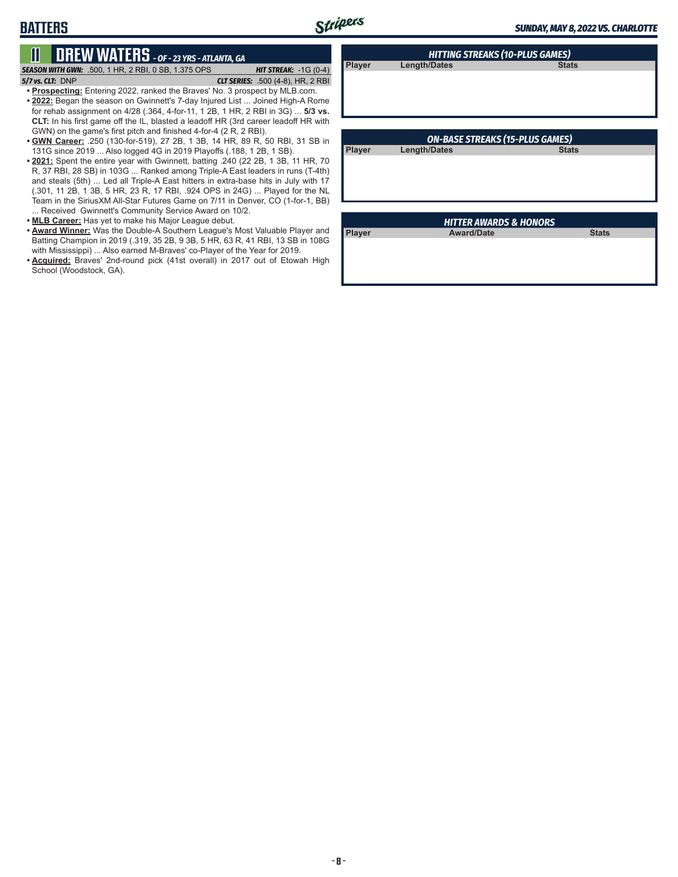**Player Length/Dates** 

# **BATTERS**

# **11 DREW WATERS** *- OF - 23 YRS - ATLANTA, GA*

*SEASON WITH GWN:*.500, 1 HR, 2 RBI, 0 SB, 1.375 OPS *HIT STREAK:* -1G (0-4)

*5/7 vs. CLT:*DNP *CLT SERIES:* .500 (4-8), HR, 2 RBI

- **• Prospecting:** Entering 2022, ranked the Braves' No. 3 prospect by MLB.com. **• 2022:** Began the season on Gwinnett's 7-day Injured List ... Joined High-A Rome for rehab assignment on 4/28 (.364, 4-for-11, 1 2B, 1 HR, 2 RBI in 3G) ... **5/3 vs. CLT:** In his first game off the IL, blasted a leadoff HR (3rd career leadoff HR with GWN) on the game's first pitch and finished 4-for-4 (2 R, 2 RBI).
- **• GWN Career:** .250 (130-for-519), 27 2B, 1 3B, 14 HR, 89 R, 50 RBI, 31 SB in 131G since 2019 ... Also logged 4G in 2019 Playoffs (.188, 1 2B, 1 SB).
- **• 2021:** Spent the entire year with Gwinnett, batting .240 (22 2B, 1 3B, 11 HR, 70 R, 37 RBI, 28 SB) in 103G ... Ranked among Triple-A East leaders in runs (T-4th) and steals (5th) ... Led all Triple-A East hitters in extra-base hits in July with 17 (.301, 11 2B, 1 3B, 5 HR, 23 R, 17 RBI, .924 OPS in 24G) ... Played for the NL Team in the SiriusXM All-Star Futures Game on 7/11 in Denver, CO (1-for-1, BB) ... Received Gwinnett's Community Service Award on 10/2.
- **• MLB Career:** Has yet to make his Major League debut.
- **• Award Winner:** Was the Double-A Southern League's Most Valuable Player and Batting Champion in 2019 (.319, 35 2B, 9 3B, 5 HR, 63 R, 41 RBI, 13 SB in 108G with Mississippi) ... Also earned M-Braves' co-Player of the Year for 2019.
- **• Acquired:** Braves' 2nd-round pick (41st overall) in 2017 out of Etowah High School (Woodstock, GA).

|               | <b>ON-BASE STREAKS (15-PLUS GAMES)</b> |              |
|---------------|----------------------------------------|--------------|
| <b>Player</b> | <b>Length/Dates</b>                    | <b>Stats</b> |
|               |                                        |              |
|               |                                        |              |
|               |                                        |              |
|               |                                        |              |

*HITTING STREAKS (10-PLUS GAMES)*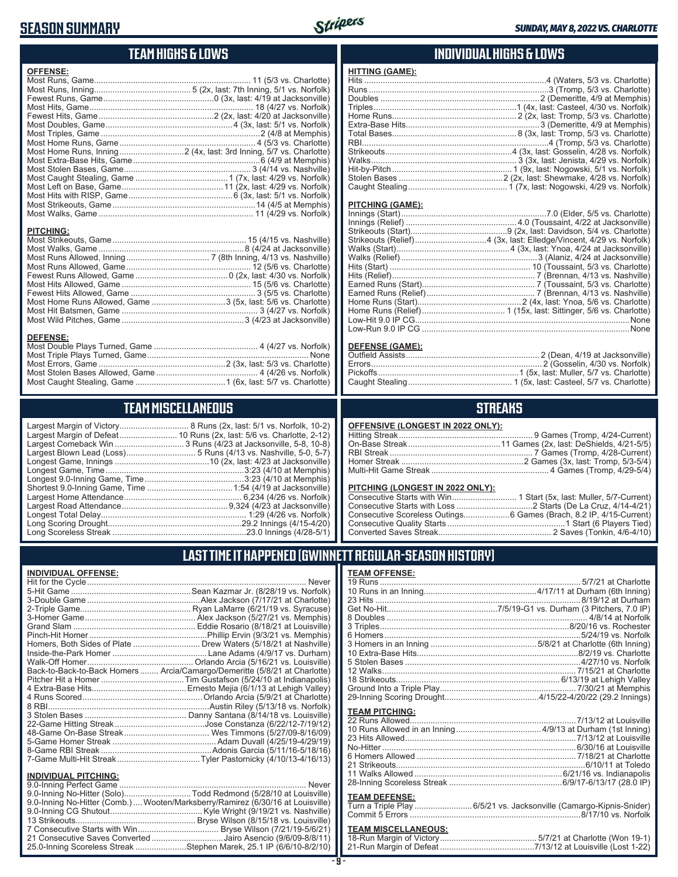### **SEASON SUMMARY**



| <b>HITTING (GAM</b><br><b>OFFENSE:</b><br>Hits<br>Runs<br>Doubles<br>Triples<br>Home Runs<br>Extra-Base Hit<br>Total Bases<br>RBI<br>Strikeouts<br><b>Walks</b><br>Hit-by-Pitch<br>Stolen Bases.<br><b>Caught Stealin</b><br><b>PITCHING (G/</b><br>Innings (Start)<br>Innings (Relief<br><b>PITCHING:</b><br>Strikeouts (Sta<br>Strikeouts (Rel<br>Walks (Start)<br>Walks (Relief)<br>Hits (Start)<br>Hits (Relief)<br>Earned Runs (<br>Earned Runs (<br>Most Home Runs Allowed, Game 3 (5x, last: 5/6 vs. Charlotte)<br>Home Runs (S<br>Home Runs (R<br>Low-Hit 9.0 IP<br>Low-Run 9.0 II<br><b>DEFENSE:</b><br>DEFENSE (G/<br><b>Outfield Assist</b><br>Errors<br>Pickoffs<br><b>Caught Stealin</b><br><b>TEAM MISCELLANEOUS</b><br>Largest Margin of Victory 8 Runs (2x, last: 5/1 vs. Norfolk, 10-2)<br><b>OFFENSIVE (I</b><br>Hitting Streak.<br>On-Base Strea |            |
|---------------------------------------------------------------------------------------------------------------------------------------------------------------------------------------------------------------------------------------------------------------------------------------------------------------------------------------------------------------------------------------------------------------------------------------------------------------------------------------------------------------------------------------------------------------------------------------------------------------------------------------------------------------------------------------------------------------------------------------------------------------------------------------------------------------------------------------------------------------------|------------|
|                                                                                                                                                                                                                                                                                                                                                                                                                                                                                                                                                                                                                                                                                                                                                                                                                                                                     |            |
|                                                                                                                                                                                                                                                                                                                                                                                                                                                                                                                                                                                                                                                                                                                                                                                                                                                                     |            |
|                                                                                                                                                                                                                                                                                                                                                                                                                                                                                                                                                                                                                                                                                                                                                                                                                                                                     |            |
|                                                                                                                                                                                                                                                                                                                                                                                                                                                                                                                                                                                                                                                                                                                                                                                                                                                                     |            |
|                                                                                                                                                                                                                                                                                                                                                                                                                                                                                                                                                                                                                                                                                                                                                                                                                                                                     |            |
|                                                                                                                                                                                                                                                                                                                                                                                                                                                                                                                                                                                                                                                                                                                                                                                                                                                                     |            |
|                                                                                                                                                                                                                                                                                                                                                                                                                                                                                                                                                                                                                                                                                                                                                                                                                                                                     |            |
|                                                                                                                                                                                                                                                                                                                                                                                                                                                                                                                                                                                                                                                                                                                                                                                                                                                                     |            |
|                                                                                                                                                                                                                                                                                                                                                                                                                                                                                                                                                                                                                                                                                                                                                                                                                                                                     |            |
|                                                                                                                                                                                                                                                                                                                                                                                                                                                                                                                                                                                                                                                                                                                                                                                                                                                                     |            |
|                                                                                                                                                                                                                                                                                                                                                                                                                                                                                                                                                                                                                                                                                                                                                                                                                                                                     |            |
|                                                                                                                                                                                                                                                                                                                                                                                                                                                                                                                                                                                                                                                                                                                                                                                                                                                                     |            |
|                                                                                                                                                                                                                                                                                                                                                                                                                                                                                                                                                                                                                                                                                                                                                                                                                                                                     |            |
|                                                                                                                                                                                                                                                                                                                                                                                                                                                                                                                                                                                                                                                                                                                                                                                                                                                                     |            |
|                                                                                                                                                                                                                                                                                                                                                                                                                                                                                                                                                                                                                                                                                                                                                                                                                                                                     |            |
|                                                                                                                                                                                                                                                                                                                                                                                                                                                                                                                                                                                                                                                                                                                                                                                                                                                                     |            |
|                                                                                                                                                                                                                                                                                                                                                                                                                                                                                                                                                                                                                                                                                                                                                                                                                                                                     |            |
|                                                                                                                                                                                                                                                                                                                                                                                                                                                                                                                                                                                                                                                                                                                                                                                                                                                                     |            |
|                                                                                                                                                                                                                                                                                                                                                                                                                                                                                                                                                                                                                                                                                                                                                                                                                                                                     |            |
|                                                                                                                                                                                                                                                                                                                                                                                                                                                                                                                                                                                                                                                                                                                                                                                                                                                                     |            |
|                                                                                                                                                                                                                                                                                                                                                                                                                                                                                                                                                                                                                                                                                                                                                                                                                                                                     |            |
|                                                                                                                                                                                                                                                                                                                                                                                                                                                                                                                                                                                                                                                                                                                                                                                                                                                                     |            |
|                                                                                                                                                                                                                                                                                                                                                                                                                                                                                                                                                                                                                                                                                                                                                                                                                                                                     |            |
|                                                                                                                                                                                                                                                                                                                                                                                                                                                                                                                                                                                                                                                                                                                                                                                                                                                                     |            |
|                                                                                                                                                                                                                                                                                                                                                                                                                                                                                                                                                                                                                                                                                                                                                                                                                                                                     |            |
|                                                                                                                                                                                                                                                                                                                                                                                                                                                                                                                                                                                                                                                                                                                                                                                                                                                                     |            |
|                                                                                                                                                                                                                                                                                                                                                                                                                                                                                                                                                                                                                                                                                                                                                                                                                                                                     |            |
|                                                                                                                                                                                                                                                                                                                                                                                                                                                                                                                                                                                                                                                                                                                                                                                                                                                                     |            |
|                                                                                                                                                                                                                                                                                                                                                                                                                                                                                                                                                                                                                                                                                                                                                                                                                                                                     |            |
|                                                                                                                                                                                                                                                                                                                                                                                                                                                                                                                                                                                                                                                                                                                                                                                                                                                                     |            |
|                                                                                                                                                                                                                                                                                                                                                                                                                                                                                                                                                                                                                                                                                                                                                                                                                                                                     |            |
|                                                                                                                                                                                                                                                                                                                                                                                                                                                                                                                                                                                                                                                                                                                                                                                                                                                                     |            |
|                                                                                                                                                                                                                                                                                                                                                                                                                                                                                                                                                                                                                                                                                                                                                                                                                                                                     |            |
|                                                                                                                                                                                                                                                                                                                                                                                                                                                                                                                                                                                                                                                                                                                                                                                                                                                                     |            |
|                                                                                                                                                                                                                                                                                                                                                                                                                                                                                                                                                                                                                                                                                                                                                                                                                                                                     |            |
|                                                                                                                                                                                                                                                                                                                                                                                                                                                                                                                                                                                                                                                                                                                                                                                                                                                                     |            |
|                                                                                                                                                                                                                                                                                                                                                                                                                                                                                                                                                                                                                                                                                                                                                                                                                                                                     |            |
|                                                                                                                                                                                                                                                                                                                                                                                                                                                                                                                                                                                                                                                                                                                                                                                                                                                                     |            |
|                                                                                                                                                                                                                                                                                                                                                                                                                                                                                                                                                                                                                                                                                                                                                                                                                                                                     |            |
|                                                                                                                                                                                                                                                                                                                                                                                                                                                                                                                                                                                                                                                                                                                                                                                                                                                                     |            |
|                                                                                                                                                                                                                                                                                                                                                                                                                                                                                                                                                                                                                                                                                                                                                                                                                                                                     |            |
|                                                                                                                                                                                                                                                                                                                                                                                                                                                                                                                                                                                                                                                                                                                                                                                                                                                                     | RBI Streak |

**TEAM HIGHS & LOWS**

### **INDIVIDUAL HIGHS & LOWS**

| <b>HITTING (GAME):</b> |  |
|------------------------|--|
|                        |  |
|                        |  |
|                        |  |
|                        |  |
|                        |  |
|                        |  |
|                        |  |
|                        |  |
|                        |  |
|                        |  |
|                        |  |
|                        |  |
|                        |  |

#### **AME):**

#### <u>**AME):**</u>

### **STREAKS**

**LONGEST IN 2022 ONLY):** 

#### **PITCHING (LONGEST IN 2022 ONLY):**

### **LAST TIME IT HAPPENED (GWINNETT REGULAR-SEASON HISTORY)**

#### **TEAM OFFENSE:**

| <u>ILAM VI I LIVUL.</u> |                                                                     |
|-------------------------|---------------------------------------------------------------------|
|                         |                                                                     |
| <b>TEAM PITCHING:</b>   |                                                                     |
| <b>TEAM DEFENSE:</b>    | Turn a Triple Play  6/5/21 vs. Jacksonville (Camargo-Kipnis-Snider) |

## **TEAM MISCELLANEOUS:**<br>18-Run Margin of Victory...

| 21-Run Margin of Defeat…………………………………7/13/12 at Louisville (Lost 1-22) |  |  |
|-----------------------------------------------------------------------|--|--|

| Never                                                                      |
|----------------------------------------------------------------------------|
|                                                                            |
|                                                                            |
|                                                                            |
|                                                                            |
|                                                                            |
|                                                                            |
| Homers, Both Sides of Plate  Drew Waters (5/18/21 at Nashville)            |
|                                                                            |
|                                                                            |
| Back-to-Back-to-Back Homers  Arcia/Camargo/Demeritte (5/8/21 at Charlotte) |
|                                                                            |
|                                                                            |
|                                                                            |
|                                                                            |
|                                                                            |
|                                                                            |
|                                                                            |
|                                                                            |
|                                                                            |
|                                                                            |
|                                                                            |

#### **INDIVIDUAL PITCHING:**

| 9.0-Inning No-Hitter (Solo)Todd Redmond (5/28/10 at Louisville)                |
|--------------------------------------------------------------------------------|
| 9.0-Inning No-Hitter (Comb.) Wooten/Marksberry/Ramirez (6/30/16 at Louisville) |
|                                                                                |
|                                                                                |
|                                                                                |
| 21 Consecutive Saves Converted Jairo Asencio (9/6/09-8/8/11)                   |
| 25.0-Inning Scoreless Streak Stephen Marek, 25.1 IP (6/6/10-8/2/10)            |

Longest Game, Innings .........................................10 (2x, last: 4/23 at Jacksonville) Longest Game, Time ............................................................3:23 (4/10 at Memphis) Longest 9.0-Inning Game, Time ...........................................3:23 (4/10 at Memphis) Shortest 9.0-Inning Game, Time .....................................1:54 (4/19 at Jacksonville) Largest Home Attendance ................................................... 6,234 (4/26 vs. Norfolk) Largest Road Attendance ..............................................9,324 (4/23 at Jacksonville) Longest Total Delay............................................................... 1:29 (4/26 vs. Norfolk) Long Scoring Drought..........................................................29.2 Innings (4/15-4/20) Long Scoreless Streak ..........................................................23.0 Innings (4/28-5/1)